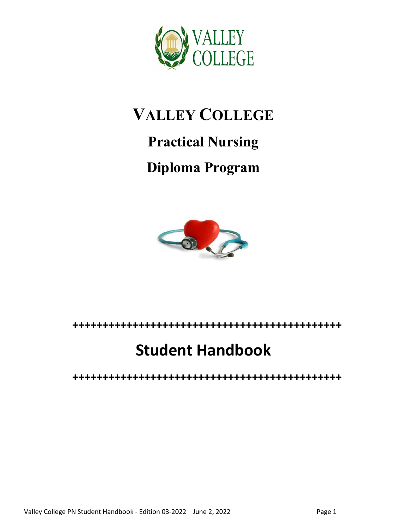

# **VALLEY COLLEGE**

# **Practical Nursing**

# **Diploma Program**



## **+++++++++++++++++++++++++++++++++++++++++++++**

# **Student Handbook**

**+++++++++++++++++++++++++++++++++++++++++++++**

Valley College PN Student Handbook - Edition 03-2022 June 2, 2022 Manuscon Page 1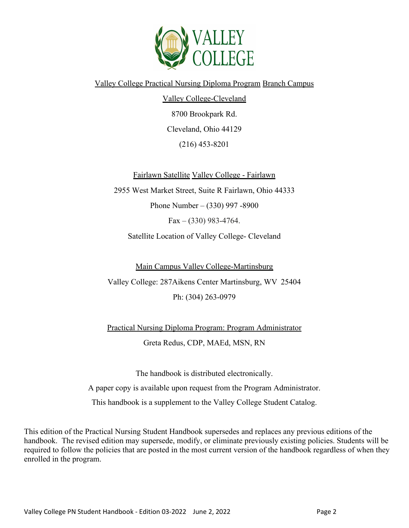

Valley College Practical Nursing Diploma Program Branch Campus

Valley College-Cleveland 8700 Brookpark Rd. Cleveland, Ohio 44129 (216) 453-8201

Fairlawn Satellite Valley College - Fairlawn

2955 West Market Street, Suite R Fairlawn, Ohio 44333 Phone Number – (330) 997 -8900  $Fax - (330)$  983-4764.

Satellite Location of Valley College- Cleveland

Main Campus Valley College-Martinsburg

Valley College: 287Aikens Center Martinsburg, WV 25404 Ph: (304) 263-0979

Practical Nursing Diploma Program: Program Administrator Greta Redus, CDP, MAEd, MSN, RN

The handbook is distributed electronically. A paper copy is available upon request from the Program Administrator. This handbook is a supplement to the Valley College Student Catalog.

This edition of the Practical Nursing Student Handbook supersedes and replaces any previous editions of the handbook. The revised edition may supersede, modify, or eliminate previously existing policies. Students will be required to follow the policies that are posted in the most current version of the handbook regardless of when they enrolled in the program.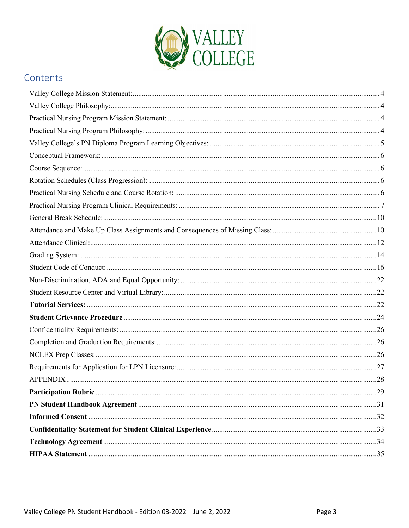

## Contents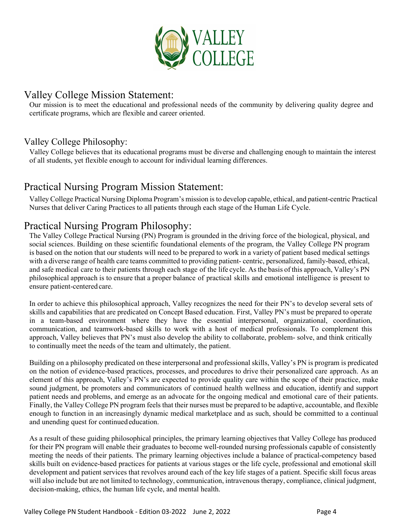

## <span id="page-3-0"></span>Valley College Mission Statement:

Our mission is to meet the educational and professional needs of the community by delivering quality degree and certificate programs, which are flexible and career oriented.

#### <span id="page-3-1"></span>Valley College Philosophy:

Valley College believes that its educational programs must be diverse and challenging enough to maintain the interest of all students, yet flexible enough to account for individual learning differences.

## <span id="page-3-2"></span>Practical Nursing Program Mission Statement:

Valley College Practical Nursing Diploma Program's mission isto develop capable, ethical, and patient-centric Practical Nurses that deliver Caring Practices to all patients through each stage of the Human Life Cycle.

## <span id="page-3-3"></span>Practical Nursing Program Philosophy:

The Valley College Practical Nursing (PN) Program is grounded in the driving force of the biological, physical, and social sciences. Building on these scientific foundational elements of the program, the Valley College PN program is based on the notion that our students will need to be prepared to work in a variety of patient based medical settings with a diverse range of health care teams committed to providing patient- centric, personalized, family-based, ethical, and safe medical care to their patients through each stage of the life cycle. Asthe basis of this approach, Valley's PN philosophical approach is to ensure that a proper balance of practical skills and emotional intelligence is present to ensure patient-centered care.

In order to achieve this philosophical approach, Valley recognizes the need for their PN's to develop several sets of skills and capabilities that are predicated on Concept Based education. First, Valley PN's must be prepared to operate in a team-based environment where they have the essential interpersonal, organizational, coordination, communication, and teamwork-based skills to work with a host of medical professionals. To complement this approach, Valley believes that PN's must also develop the ability to collaborate, problem- solve, and think critically to continually meet the needs of the team and ultimately, the patient.

Building on a philosophy predicated on these interpersonal and professional skills, Valley's PN is program is predicated on the notion of evidence-based practices, processes, and procedures to drive their personalized care approach. As an element of this approach, Valley's PN's are expected to provide quality care within the scope of their practice, make sound judgment, be promoters and communicators of continued health wellness and education, identify and support patient needs and problems, and emerge as an advocate for the ongoing medical and emotional care of their patients. Finally, the Valley College PN program feels that their nurses must be prepared to be adaptive, accountable, and flexible enough to function in an increasingly dynamic medical marketplace and as such, should be committed to a continual and unending quest for continuededucation.

As a result of these guiding philosophical principles, the primary learning objectives that Valley College has produced for their PN program will enable their graduates to become well-rounded nursing professionals capable of consistently meeting the needs of their patients. The primary learning objectives include a balance of practical-competency based skills built on evidence-based practices for patients at various stages or the life cycle, professional and emotional skill development and patient services that revolves around each of the key life stages of a patient. Specific skill focus areas will also include but are not limited to technology, communication, intravenous therapy, compliance, clinical judgment, decision-making, ethics, the human life cycle, and mental health.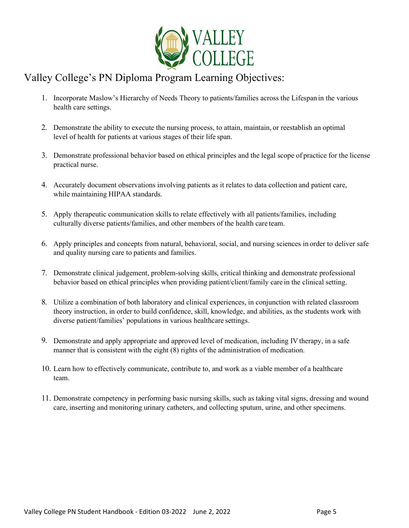

## <span id="page-4-0"></span>Valley College's PN Diploma Program Learning Objectives:

- 1. Incorporate Maslow's Hierarchy of Needs Theory to patients/families across the Lifespan in the various health care settings.
- 2. Demonstrate the ability to execute the nursing process, to attain, maintain, or reestablish an optimal level of health for patients at various stages of their life span.
- 3. Demonstrate professional behavior based on ethical principles and the legal scope of practice for the license practical nurse.
- 4. Accurately document observations involving patients as it relates to data collection and patient care, while maintaining HIPAA standards.
- 5. Apply therapeutic communication skills to relate effectively with all patients/families, including culturally diverse patients/families, and other members of the health care team.
- 6. Apply principles and concepts from natural, behavioral, social, and nursing sciences in order to deliver safe and quality nursing care to patients and families.
- 7. Demonstrate clinical judgement, problem-solving skills, critical thinking and demonstrate professional behavior based on ethical principles when providing patient/client/family care in the clinical setting.
- 8. Utilize a combination of both laboratory and clinical experiences, in conjunction with related classroom theory instruction, in order to build confidence, skill, knowledge, and abilities, as the students work with diverse patient/families' populations in various healthcare settings.
- 9. Demonstrate and apply appropriate and approved level of medication, including IV therapy, in a safe manner that is consistent with the eight (8) rights of the administration of medication.
- 10. Learn how to effectively communicate, contribute to, and work as a viable member of a healthcare team.
- 11. Demonstrate competency in performing basic nursing skills, such as taking vital signs, dressing and wound care, inserting and monitoring urinary catheters, and collecting sputum, urine, and other specimens.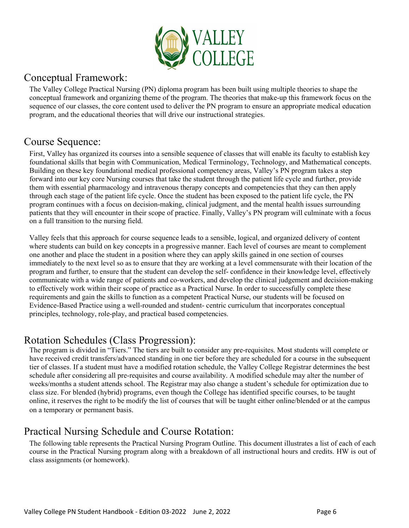

## <span id="page-5-0"></span>Conceptual Framework:

The Valley College Practical Nursing (PN) diploma program has been built using multiple theories to shape the conceptual framework and organizing theme of the program. The theories that make-up this framework focus on the sequence of our classes, the core content used to deliver the PN program to ensure an appropriate medical education program, and the educational theories that will drive our instructional strategies.

## <span id="page-5-1"></span>Course Sequence:

First, Valley has organized its courses into a sensible sequence of classes that will enable its faculty to establish key foundational skills that begin with Communication, Medical Terminology, Technology, and Mathematical concepts. Building on these key foundational medical professional competency areas, Valley's PN program takes a step forward into our key core Nursing courses that take the student through the patient life cycle and further, provide them with essential pharmacology and intravenous therapy concepts and competencies that they can then apply through each stage of the patient life cycle. Once the student has been exposed to the patient life cycle, the PN program continues with a focus on decision-making, clinical judgment, and the mental health issues surrounding patients that they will encounter in their scope of practice. Finally, Valley's PN program will culminate with a focus on a full transition to the nursing field.

Valley feels that this approach for course sequence leads to a sensible, logical, and organized delivery of content where students can build on key concepts in a progressive manner. Each level of courses are meant to complement one another and place the student in a position where they can apply skills gained in one section of courses immediately to the next level so as to ensure that they are working at a level commensurate with their location of the program and further, to ensure that the student can develop the self- confidence in their knowledge level, effectively communicate with a wide range of patients and co-workers, and develop the clinical judgement and decision-making to effectively work within their scope of practice as a Practical Nurse. In order to successfully complete these requirements and gain the skills to function as a competent Practical Nurse, our students will be focused on Evidence-Based Practice using a well-rounded and student- centric curriculum that incorporates conceptual principles, technology, role-play, and practical based competencies.

## <span id="page-5-2"></span>Rotation Schedules (Class Progression):

The program is divided in "Tiers." The tiers are built to consider any pre-requisites. Most students will complete or have received credit transfers/advanced standing in one tier before they are scheduled for a course in the subsequent tier of classes. If a student must have a modified rotation schedule, the Valley College Registrar determines the best schedule after considering all pre-requisites and course availability. A modified schedule may alter the number of weeks/months a student attends school. The Registrar may also change a student's schedule for optimization due to class size. For blended (hybrid) programs, even though the College has identified specific courses, to be taught online, it reserves the right to be modify the list of courses that will be taught either online/blended or at the campus on a temporary or permanent basis.

## <span id="page-5-3"></span>Practical Nursing Schedule and Course Rotation:

The following table represents the Practical Nursing Program Outline. This document illustrates a list of each of each course in the Practical Nursing program along with a breakdown of all instructional hours and credits. HW is out of class assignments (or homework).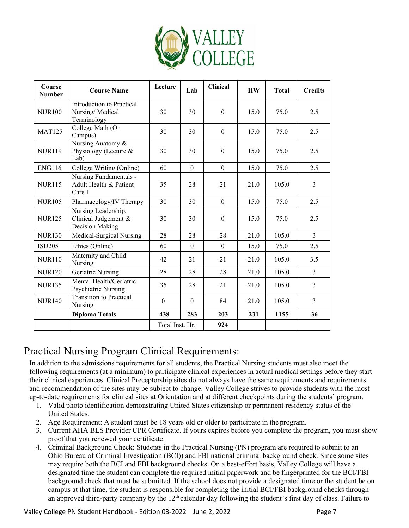

| Course<br><b>Number</b> | <b>Course Name</b>                                             | Lecture          | Lab          | <b>Clinical</b>  | <b>HW</b> | <b>Total</b> | <b>Credits</b> |
|-------------------------|----------------------------------------------------------------|------------------|--------------|------------------|-----------|--------------|----------------|
| <b>NUR100</b>           | Introduction to Practical<br>Nursing/Medical<br>Terminology    | 30               | 30           | $\theta$         | 15.0      | 75.0         | 2.5            |
| <b>MAT125</b>           | College Math (On<br>Campus)                                    | 30               | 30           | $\theta$         | 15.0      | 75.0         | 2.5            |
| <b>NUR119</b>           | Nursing Anatomy &<br>Physiology (Lecture &<br>Lab)             | 30               | 30           | $\mathbf{0}$     | 15.0      | 75.0         | 2.5            |
| <b>ENG116</b>           | College Writing (Online)                                       | 60               | $\mathbf{0}$ | $\mathbf{0}$     | 15.0      | 75.0         | 2.5            |
| <b>NUR115</b>           | Nursing Fundamentals -<br>Adult Health & Patient<br>Care I     | 35               | 28           | 21               | 21.0      | 105.0        | $\overline{3}$ |
| <b>NUR105</b>           | Pharmacology/IV Therapy                                        | 30               | 30           | $\theta$         | 15.0      | 75.0         | 2.5            |
| <b>NUR125</b>           | Nursing Leadership,<br>Clinical Judgement &<br>Decision Making | 30               | 30           | $\boldsymbol{0}$ | 15.0      | 75.0         | 2.5            |
| <b>NUR130</b>           | Medical-Surgical Nursing                                       | 28               | 28           | 28               | 21.0      | 105.0        | $\overline{3}$ |
| ISD205                  | Ethics (Online)                                                | 60               | $\theta$     | $\theta$         | 15.0      | 75.0         | 2.5            |
| <b>NUR110</b>           | Maternity and Child<br>Nursing                                 | 42               | 21           | 21               | 21.0      | 105.0        | 3.5            |
| <b>NUR120</b>           | Geriatric Nursing                                              | 28               | 28           | 28               | 21.0      | 105.0        | $\overline{3}$ |
| <b>NUR135</b>           | Mental Health/Geriatric<br>Psychiatric Nursing                 | 35               | 28           | 21               | 21.0      | 105.0        | 3              |
| <b>NUR140</b>           | <b>Transition to Practical</b><br>Nursing                      | $\boldsymbol{0}$ | $\theta$     | 84               | 21.0      | 105.0        | $\overline{3}$ |
|                         | <b>Diploma Totals</b>                                          | 438              | 283          | 203              | 231       | 1155         | 36             |
|                         |                                                                | Total Inst. Hr.  |              | 924              |           |              |                |

## <span id="page-6-0"></span>Practical Nursing Program Clinical Requirements:

In addition to the admissions requirements for all students, the Practical Nursing students must also meet the following requirements (at a minimum) to participate clinical experiences in actual medical settings before they start their clinical experiences. Clinical Preceptorship sites do not always have the same requirements and requirements and recommendation of the sites may be subject to change. Valley College strives to provide students with the most up-to-date requirements for clinical sites at Orientation and at different checkpoints during the students' program.

- 1. Valid photo identification demonstrating United States citizenship or permanent residency status of the United States.
- 2. Age Requirement: A student must be 18 years old or older to participate in the program.
- 3. Current AHA BLS Provider CPR Certificate. If yours expires before you complete the program, you must show proof that you renewed your certificate.
- 4. Criminal Background Check: Students in the Practical Nursing (PN) program are required to submit to an Ohio Bureau of Criminal Investigation (BCI)) and FBI national criminal background check. Since some sites may require both the BCI and FBI background checks. On a best-effort basis, Valley College will have a designated time the student can complete the required initial paperwork and be fingerprinted for the BCI/FBI background check that must be submitted. If the school does not provide a designated time or the student be on campus at that time, the student is responsible for completing the initial BCI/FBI background checks through an approved third-party company by the  $12<sup>th</sup>$  calendar day following the student's first day of class. Failure to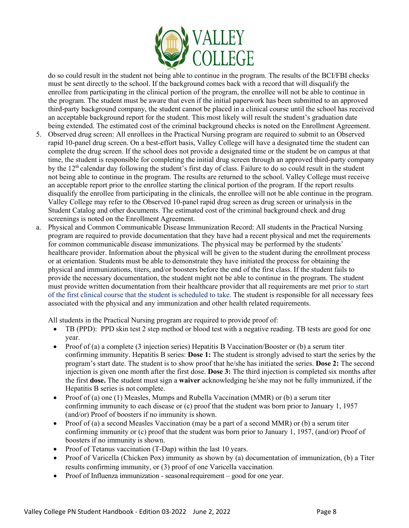

do so could result in the student not being able to continue in the program. The results of the BCI/FBI checks must be sent directly to the school. If the background comes back with a record that will disqualify the enrollee from participating in the clinical portion of the program, the enrollee will not be able to continue in the program. The student must be aware that even if the initial paperwork has been submitted to an approved third-party background company, the student cannot be placed in a clinical course until the school has received an acceptable background report for the student. This most likely will result the student's graduation date being extended. The estimated cost of the criminal background checks is noted on the Enrollment Agreement.

- 5. Observed drug screen: All enrollees in the Practical Nursing program are required to submit to an Observed rapid 10-panel drug screen. On a best-effort basis, Valley College will have a designated time the student can complete the drug screen. If the school does not provide a designated time or the student be on campus at that time, the student is responsible for completing the initial drug screen through an approved third-party company by the 12th calendar day following the student's first day of class. Failure to do so could result in the student not being able to continue in the program. The results are returned to the school. Valley College must receive an acceptable report prior to the enrollee starting the clinical portion of the program. If the report results disqualify the enrollee from participating in the clinicals, the enrollee will not be able continue in the program. Valley College may refer to the Observed 10-panel rapid drug screen as drug screen or urinalysis in the Student Catalog and other documents. The estimated cost of the criminal background check and drug screenings is noted on the Enrollment Agreement.
- a. Physical and Common Communicable Disease Immunization Record: All students in the Practical Nursing program are required to provide documentation that they have had a recent physical and met the requirements for common communicable disease immunizations. The physical may be performed by the students' healthcare provider. Information about the physical will be given to the student during the enrollment process or at orientation. Students must be able to demonstrate they have initiated the process for obtaining the physical and immunizations, titers, and/or boosters before the end of the first class. If the student fails to provide the necessary documentation, the student might not be able to continue in the program. The student must provide written documentation from their healthcare provider that all requirements are met prior to start of the first clinical course that the student is scheduled to take. The student is responsible for all necessary fees associated with the physical and any immunization and other health related requirements.

All students in the Practical Nursing program are required to provide proof of:

- TB (PPD): PPD skin test 2 step method or blood test with a negative reading. TB tests are good for one year.
- Proof of (a) a complete (3 injection series) Hepatitis B Vaccination/Booster or (b) a serum titer confirming immunity. Hepatitis B series: **Dose 1:** The student is strongly advised to start the series by the program's start date. The student is to show proof that he/she has initiated the series. **Dose 2:** The second injection is given one month after the first dose. **Dose 3:** The third injection is completed six months after the first **dose.** The student must sign a **waiver** acknowledging he/she may not be fully immunized, if the Hepatitis B series is not complete.
- Proof of (a) one (1) Measles, Mumps and Rubella Vaccination (MMR) or (b) a serum titer confirming immunity to each disease or (c) proof that the student was born prior to January 1, 1957 (and/or) Proof of boosters if no immunity is shown.
- Proof of (a) a second Measles Vaccination (may be a part of a second MMR) or (b) a serum titer confirming immunity or (c) proof that the student was born prior to January 1, 1957, (and/or) Proof of boosters if no immunity is shown.
- Proof of Tetanus vaccination (T-Dap) within the last 10 years.
- Proof of Varicella (Chicken Pox) immunity as shown by (a) documentation of immunization, (b) a Titer results confirming immunity, or (3) proof of one Varicella vaccination.
- Proof of Influenza immunization seasonalrequirement good for one year.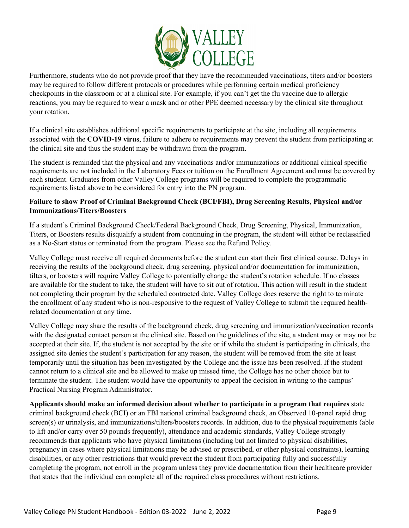

Furthermore, students who do not provide proof that they have the recommended vaccinations, titers and/or boosters may be required to follow different protocols or procedures while performing certain medical proficiency checkpoints in the classroom or at a clinical site. For example, if you can't get the flu vaccine due to allergic reactions, you may be required to wear a mask and or other PPE deemed necessary by the clinical site throughout your rotation.

If a clinical site establishes additional specific requirements to participate at the site, including all requirements associated with the **COVID-19 virus**, failure to adhere to requirements may prevent the student from participating at the clinical site and thus the student may be withdrawn from the program.

The student is reminded that the physical and any vaccinations and/or immunizations or additional clinical specific requirements are not included in the Laboratory Fees or tuition on the Enrollment Agreement and must be covered by each student. Graduates from other Valley College programs will be required to complete the programmatic requirements listed above to be considered for entry into the PN program.

#### **Failure to show Proof of Criminal Background Check (BCI/FBI), Drug Screening Results, Physical and/or Immunizations/Titers/Boosters**

If a student's Criminal Background Check/Federal Background Check, Drug Screening, Physical, Immunization, Titers, or Boosters results disqualify a student from continuing in the program, the student will either be reclassified as a No-Start status or terminated from the program. Please see the Refund Policy.

Valley College must receive all required documents before the student can start their first clinical course. Delays in receiving the results of the background check, drug screening, physical and/or documentation for immunization, tilters, or boosters will require Valley College to potentially change the student's rotation schedule. If no classes are available for the student to take, the student will have to sit out of rotation. This action will result in the student not completing their program by the scheduled contracted date. Valley College does reserve the right to terminate the enrollment of any student who is non-responsive to the request of Valley College to submit the required healthrelated documentation at any time.

Valley College may share the results of the background check, drug screening and immunization/vaccination records with the designated contact person at the clinical site. Based on the guidelines of the site, a student may or may not be accepted at their site. If, the student is not accepted by the site or if while the student is participating in clinicals, the assigned site denies the student's participation for any reason, the student will be removed from the site at least temporarily until the situation has been investigated by the College and the issue has been resolved. If the student cannot return to a clinical site and be allowed to make up missed time, the College has no other choice but to terminate the student. The student would have the opportunity to appeal the decision in writing to the campus' Practical Nursing Program Administrator.

**Applicants should make an informed decision about whether to participate in a program that requires** state criminal background check (BCI) or an FBI national criminal background check, an Observed 10-panel rapid drug screen(s) or urinalysis, and immunizations/tilters/boosters records. In addition, due to the physical requirements (able to lift and/or carry over 50 pounds frequently), attendance and academic standards, Valley College strongly recommends that applicants who have physical limitations (including but not limited to physical disabilities, pregnancy in cases where physical limitations may be advised or prescribed, or other physical constraints), learning disabilities, or any other restrictions that would prevent the student from participating fully and successfully completing the program, not enroll in the program unless they provide documentation from their healthcare provider that states that the individual can complete all of the required class procedures without restrictions.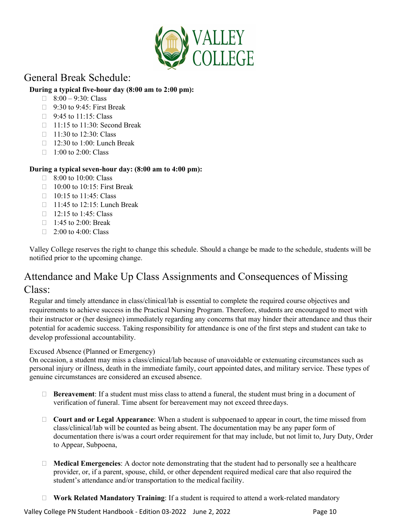

## <span id="page-9-0"></span>General Break Schedule:

#### **During a typical five-hour day (8:00 am to 2:00 pm):**

- $\Box$  8:00 9:30: Class
- $\Box$  9:30 to 9:45: First Break
- $\Box$  9:45 to 11:15: Class
- □ 11:15 to 11:30: Second Break
- $\Box$  11:30 to 12:30: Class
- $\Box$  12:30 to 1:00: Lunch Break
- $\Box$  1:00 to 2:00: Class

#### **During a typical seven-hour day: (8:00 am to 4:00 pm):**

- $\Box$  8:00 to 10:00: Class
- $\Box$  10:00 to 10:15: First Break
- $\Box$  10:15 to 11:45: Class
- 11:45 to 12:15: Lunch Break
- $\Box$  12:15 to 1:45: Class
- $\Box$  1:45 to 2:00: Break
- $\Box$  2:00 to 4:00: Class

Valley College reserves the right to change this schedule. Should a change be made to the schedule, students will be notified prior to the upcoming change.

## <span id="page-9-1"></span>Attendance and Make Up Class Assignments and Consequences of Missing Class:

Regular and timely attendance in class/clinical/lab is essential to complete the required course objectives and requirements to achieve success in the Practical Nursing Program. Therefore, students are encouraged to meet with their instructor or (her designee) immediately regarding any concerns that may hinder their attendance and thus their potential for academic success. Taking responsibility for attendance is one of the first steps and student can take to develop professional accountability.

#### Excused Absence (Planned or Emergency)

On occasion, a student may miss a class/clinical/lab because of unavoidable or extenuating circumstances such as personal injury or illness, death in the immediate family, court appointed dates, and military service. These types of genuine circumstances are considered an excused absence.

- **Bereavement**: If a student must miss class to attend a funeral, the student must bring in a document of verification of funeral. Time absent for bereavement may not exceed three days.
- **Court and or Legal Appearance**: When a student is subpoenaed to appear in court, the time missed from class/clinical/lab will be counted as being absent. The documentation may be any paper form of documentation there is/was a court order requirement for that may include, but not limit to, Jury Duty, Order to Appear, Subpoena,
- $\Box$  **Medical Emergencies**: A doctor note demonstrating that the student had to personally see a healthcare provider, or, if a parent, spouse, child, or other dependent required medical care that also required the student's attendance and/or transportation to the medical facility.
- **Work Related Mandatory Training**: If a student is required to attend a work-related mandatory

Valley College PN Student Handbook - Edition 03-2022 June 2, 2022 Page 10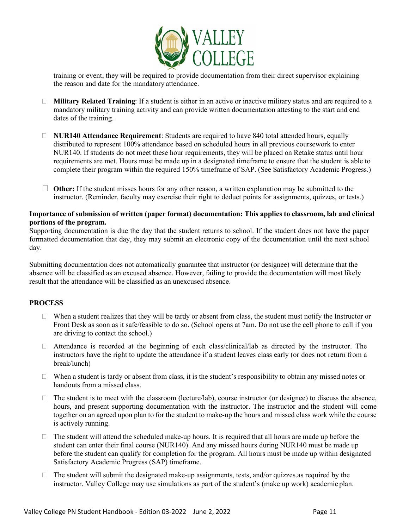

training or event, they will be required to provide documentation from their direct supervisor explaining the reason and date for the mandatory attendance.

- **Military Related Training**: If a student is either in an active or inactive military status and are required to a mandatory military training activity and can provide written documentation attesting to the start and end dates of the training.
- **NUR140 Attendance Requirement**: Students are required to have 840 total attended hours, equally distributed to represent 100% attendance based on scheduled hours in all previous coursework to enter NUR140. If students do not meet these hour requirements, they will be placed on Retake status until hour requirements are met. Hours must be made up in a designated timeframe to ensure that the student is able to complete their program within the required 150% timeframe of SAP. (See Satisfactory Academic Progress.)
- **Other:** If the student misses hours for any other reason, a written explanation may be submitted to the instructor. (Reminder, faculty may exercise their right to deduct points for assignments, quizzes, or tests.)

#### **Importance of submission of written (paper format) documentation: This applies to classroom, lab and clinical portions of the program.**

Supporting documentation is due the day that the student returns to school. If the student does not have the paper formatted documentation that day, they may submit an electronic copy of the documentation until the next school day.

Submitting documentation does not automatically guarantee that instructor (or designee) will determine that the absence will be classified as an excused absence. However, failing to provide the documentation will most likely result that the attendance will be classified as an unexcused absence.

#### **PROCESS**

- $\Box$  When a student realizes that they will be tardy or absent from class, the student must notify the Instructor or Front Desk as soon as it safe/feasible to do so. (School opens at 7am. Do not use the cell phone to call if you are driving to contact the school.)
- Attendance is recorded at the beginning of each class/clinical/lab as directed by the instructor. The instructors have the right to update the attendance if a student leaves class early (or does not return from a break/lunch)
- $\Box$  When a student is tardy or absent from class, it is the student's responsibility to obtain any missed notes or handouts from a missed class.
- $\Box$  The student is to meet with the classroom (lecture/lab), course instructor (or designee) to discuss the absence, hours, and present supporting documentation with the instructor. The instructor and the student will come together on an agreed upon plan to for the student to make-up the hours and missed class work while the course is actively running.
- $\Box$  The student will attend the scheduled make-up hours. It is required that all hours are made up before the student can enter their final course (NUR140). And any missed hours during NUR140 must be made up before the student can qualify for completion for the program. All hours must be made up within designated Satisfactory Academic Progress (SAP) timeframe.
- $\Box$  The student will submit the designated make-up assignments, tests, and/or quizzes. As required by the instructor. Valley College may use simulations as part of the student's (make up work) academic plan.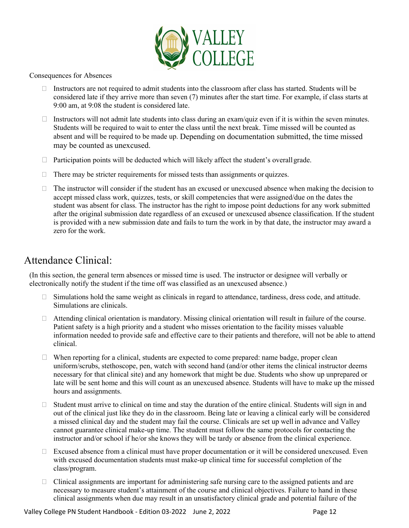

Consequences for Absences

- Instructors are not required to admit students into the classroom after class has started. Students will be considered late if they arrive more than seven (7) minutes after the start time. For example, if class starts at 9:00 am, at 9:08 the student is considered late.
- Instructors will not admit late students into class during an exam/quiz even if it is within the seven minutes. Students will be required to wait to enter the class until the next break. Time missed will be counted as absent and will be required to be made up. Depending on documentation submitted, the time missed may be counted as unexcused.
- $\Box$  Participation points will be deducted which will likely affect the student's overall grade.
- $\Box$  There may be stricter requirements for missed tests than assignments or quizzes.
- $\Box$  The instructor will consider if the student has an excused or unexcused absence when making the decision to accept missed class work, quizzes, tests, or skill competencies that were assigned/due on the dates the student was absent for class. The instructor has the right to impose point deductions for any work submitted after the original submission date regardless of an excused or unexcused absence classification. If the student is provided with a new submission date and fails to turn the work in by that date, the instructor may award a zero for the work.

## <span id="page-11-0"></span>Attendance Clinical:

(In this section, the general term absences or missed time is used. The instructor or designee will verbally or electronically notify the student if the time off was classified as an unexcused absence.)

- □ Simulations hold the same weight as clinicals in regard to attendance, tardiness, dress code, and attitude. Simulations are clinicals.
- Attending clinical orientation is mandatory. Missing clinical orientation will result in failure of the course. Patient safety is a high priority and a student who misses orientation to the facility misses valuable information needed to provide safe and effective care to their patients and therefore, will not be able to attend clinical.
- $\Box$  When reporting for a clinical, students are expected to come prepared: name badge, proper clean uniform/scrubs, stethoscope, pen, watch with second hand (and/or other items the clinical instructor deems necessary for that clinical site) and any homework that might be due. Students who show up unprepared or late will be sent home and this will count as an unexcused absence. Students will have to make up the missed hours and assignments.
- $\Box$  Student must arrive to clinical on time and stay the duration of the entire clinical. Students will sign in and out of the clinical just like they do in the classroom. Being late or leaving a clinical early will be considered a missed clinical day and the student may fail the course. Clinicals are set up well in advance and Valley cannot guarantee clinical make-up time. The student must follow the same protocols for contacting the instructor and/or school if he/or she knows they will be tardy or absence from the clinical experience.
- $\Box$  Excused absence from a clinical must have proper documentation or it will be considered unexcused. Even with excused documentation students must make-up clinical time for successful completion of the class/program.
- $\Box$  Clinical assignments are important for administering safe nursing care to the assigned patients and are necessary to measure student's attainment of the course and clinical objectives. Failure to hand in these clinical assignments when due may result in an unsatisfactory clinical grade and potential failure of the

Valley College PN Student Handbook - Edition 03-2022 June 2, 2022 Mage 12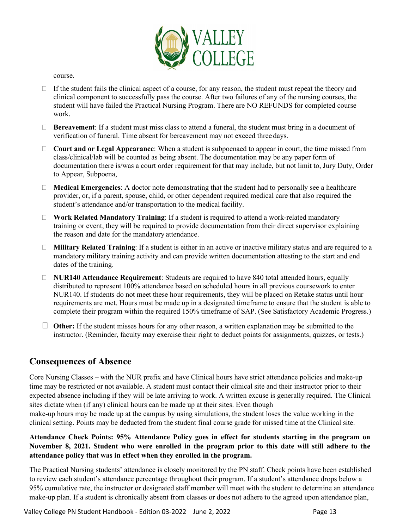

course.

- $\Box$  If the student fails the clinical aspect of a course, for any reason, the student must repeat the theory and clinical component to successfully pass the course. After two failures of any of the nursing courses, the student will have failed the Practical Nursing Program. There are NO REFUNDS for completed course work.
- **Bereavement**: If a student must miss class to attend a funeral, the student must bring in a document of verification of funeral. Time absent for bereavement may not exceed three days.
- **Court and or Legal Appearance**: When a student is subpoenaed to appear in court, the time missed from class/clinical/lab will be counted as being absent. The documentation may be any paper form of documentation there is/was a court order requirement for that may include, but not limit to, Jury Duty, Order to Appear, Subpoena,
- **Medical Emergencies**: A doctor note demonstrating that the student had to personally see a healthcare provider, or, if a parent, spouse, child, or other dependent required medical care that also required the student's attendance and/or transportation to the medical facility.
- **Work Related Mandatory Training**: If a student is required to attend a work-related mandatory training or event, they will be required to provide documentation from their direct supervisor explaining the reason and date for the mandatory attendance.
- **Military Related Training**: If a student is either in an active or inactive military status and are required to a mandatory military training activity and can provide written documentation attesting to the start and end dates of the training.
- **NUR140 Attendance Requirement**: Students are required to have 840 total attended hours, equally distributed to represent 100% attendance based on scheduled hours in all previous coursework to enter NUR140. If students do not meet these hour requirements, they will be placed on Retake status until hour requirements are met. Hours must be made up in a designated timeframe to ensure that the student is able to complete their program within the required 150% timeframe of SAP. (See Satisfactory Academic Progress.)
- **Other:** If the student misses hours for any other reason, a written explanation may be submitted to the instructor. (Reminder, faculty may exercise their right to deduct points for assignments, quizzes, or tests.)

#### **Consequences of Absence**

Core Nursing Classes – with the NUR prefix and have Clinical hours have strict attendance policies and make-up time may be restricted or not available. A student must contact their clinical site and their instructor prior to their expected absence including if they will be late arriving to work. A written excuse is generally required. The Clinical sites dictate when (if any) clinical hours can be made up at their sites. Even though

make-up hours may be made up at the campus by using simulations, the student loses the value working in the clinical setting. Points may be deducted from the student final course grade for missed time at the Clinical site.

#### **Attendance Check Points: 95% Attendance Policy goes in effect for students starting in the program on November 8, 2021. Student who were enrolled in the program prior to this date will still adhere to the attendance policy that was in effect when they enrolled in the program.**

The Practical Nursing students' attendance is closely monitored by the PN staff. Check points have been established to review each student's attendance percentage throughout their program. If a student's attendance drops below a 95% cumulative rate, the instructor or designated staff member will meet with the student to determine an attendance make-up plan. If a student is chronically absent from classes or does not adhere to the agreed upon attendance plan,

Valley College PN Student Handbook - Edition 03-2022 June 2, 2022 Mage 13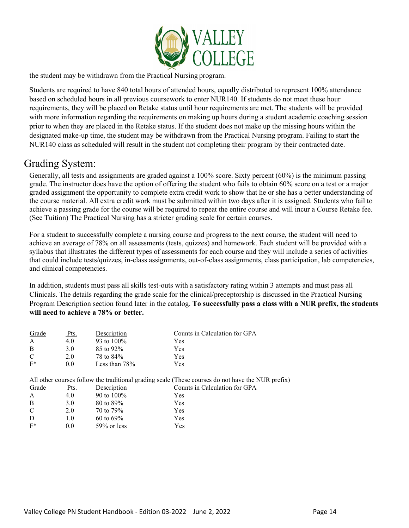

the student may be withdrawn from the Practical Nursing program.

Students are required to have 840 total hours of attended hours, equally distributed to represent 100% attendance based on scheduled hours in all previous coursework to enter NUR140. If students do not meet these hour requirements, they will be placed on Retake status until hour requirements are met. The students will be provided with more information regarding the requirements on making up hours during a student academic coaching session prior to when they are placed in the Retake status. If the student does not make up the missing hours within the designated make-up time, the student may be withdrawn from the Practical Nursing program. Failing to start the NUR140 class as scheduled will result in the student not completing their program by their contracted date.

## <span id="page-13-0"></span>Grading System:

Generally, all tests and assignments are graded against a 100% score. Sixty percent (60%) is the minimum passing grade. The instructor does have the option of offering the student who fails to obtain 60% score on a test or a major graded assignment the opportunity to complete extra credit work to show that he or she has a better understanding of the course material. All extra credit work must be submitted within two days after it is assigned. Students who fail to achieve a passing grade for the course will be required to repeat the entire course and will incur a Course Retake fee. (See Tuition) The Practical Nursing has a stricter grading scale for certain courses.

For a student to successfully complete a nursing course and progress to the next course, the student will need to achieve an average of 78% on all assessments (tests, quizzes) and homework. Each student will be provided with a syllabus that illustrates the different types of assessments for each course and they will include a series of activities that could include tests/quizzes, in-class assignments, out-of-class assignments, class participation, lab competencies, and clinical competencies.

In addition, students must pass all skills test-outs with a satisfactory rating within 3 attempts and must pass all Clinicals. The details regarding the grade scale for the clinical/preceptorship is discussed in the Practical Nursing Program Description section found later in the catalog. **To successfully pass a class with a NUR prefix, the students will need to achieve a 78% or better.**

| Grade | Pts. | Description      | Counts in Calculation for GPA |
|-------|------|------------------|-------------------------------|
|       | 4.0  | 93 to $100\%$    | Yes                           |
| -B    | 3.0  | 85 to 92%        | <b>Yes</b>                    |
| C     | 2.0  | 78 to 84%        | <b>Yes</b>                    |
| $F^*$ | 0.0  | Less than $78\%$ | Yes                           |

All other courses follow the traditional grading scale (These courses do not have the NUR prefix)

| Pts. | Description    | Counts in Calculation for GPA |
|------|----------------|-------------------------------|
| 4.0  | 90 to $100\%$  | Yes                           |
| 3.0  | 80 to 89%      | Yes                           |
| 2.0  | 70 to 79%      | Yes                           |
| 1.0  | 60 to $69\%$   | Yes                           |
| 0.0  | $59\%$ or less | Yes                           |
|      |                |                               |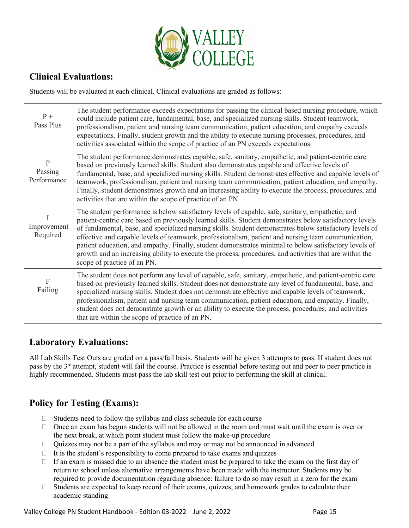

## **Clinical Evaluations:**

Students will be evaluated at each clinical. Clinical evaluations are graded as follows:

| $P +$<br>Pass Plus          | The student performance exceeds expectations for passing the clinical based nursing procedure, which<br>could include patient care, fundamental, base, and specialized nursing skills. Student teamwork,<br>professionalism, patient and nursing team communication, patient education, and empathy exceeds<br>expectations. Finally, student growth and the ability to execute nursing processes, procedures, and<br>activities associated within the scope of practice of an PN exceeds expectations.                                                                                                                                                                         |
|-----------------------------|---------------------------------------------------------------------------------------------------------------------------------------------------------------------------------------------------------------------------------------------------------------------------------------------------------------------------------------------------------------------------------------------------------------------------------------------------------------------------------------------------------------------------------------------------------------------------------------------------------------------------------------------------------------------------------|
| P<br>Passing<br>Performance | The student performance demonstrates capable, safe, sanitary, empathetic, and patient-centric care<br>based on previously learned skills. Student also demonstrates capable and effective levels of<br>fundamental, base, and specialized nursing skills. Student demonstrates effective and capable levels of<br>teamwork, professionalism, patient and nursing team communication, patient education, and empathy.<br>Finally, student demonstrates growth and an increasing ability to execute the process, procedures, and<br>activities that are within the scope of practice of an PN.                                                                                    |
| Improvement<br>Required     | The student performance is below satisfactory levels of capable, safe, sanitary, empathetic, and<br>patient-centric care based on previously learned skills. Student demonstrates below satisfactory levels<br>of fundamental, base, and specialized nursing skills. Student demonstrates below satisfactory levels of<br>effective and capable levels of teamwork, professionalism, patient and nursing team communication,<br>patient education, and empathy. Finally, student demonstrates minimal to below satisfactory levels of<br>growth and an increasing ability to execute the process, procedures, and activities that are within the<br>scope of practice of an PN. |
| F<br>Failing                | The student does not perform any level of capable, safe, sanitary, empathetic, and patient-centric care<br>based on previously learned skills. Student does not demonstrate any level of fundamental, base, and<br>specialized nursing skills. Student does not demonstrate effective and capable levels of teamwork,<br>professionalism, patient and nursing team communication, patient education, and empathy. Finally,<br>student does not demonstrate growth or an ability to execute the process, procedures, and activities<br>that are within the scope of practice of an PN.                                                                                           |

#### **Laboratory Evaluations:**

All Lab Skills Test Outs are graded on a pass/fail basis. Students will be given 3 attempts to pass. If student does not pass by the 3rd attempt, student will fail the course. Practice is essential before testing out and peer to peer practice is highly recommended. Students must pass the lab skill test out prior to performing the skill at clinical.

## **Policy for Testing (Exams):**

- $\Box$  Students need to follow the syllabus and class schedule for each course
- $\Box$  Once an exam has begun students will not be allowed in the room and must wait until the exam is over or the next break, at which point student must follow the make-up procedure
- Quizzes may not be a part of the syllabus and may or may not be announced in advanced
- $\Box$  It is the student's responsibility to come prepared to take exams and quizzes
- $\Box$  If an exam is missed due to an absence the student must be prepared to take the exam on the first day of return to school unless alternative arrangements have been made with the instructor. Students may be required to provide documentation regarding absence: failure to do so may result in a zero for the exam
- □ Students are expected to keep record of their exams, quizzes, and homework grades to calculate their academic standing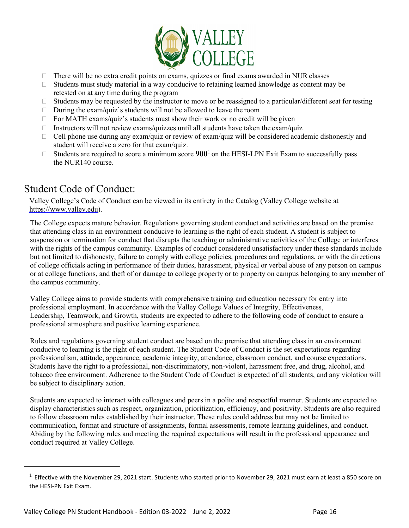

- $\Box$  There will be no extra credit points on exams, quizzes or final exams awarded in NUR classes
- $\Box$  Students must study material in a way conducive to retaining learned knowledge as content may be retested on at any time during the program
- $\Box$  Students may be requested by the instructor to move or be reassigned to a particular/different seat for testing
- $\Box$  During the exam/quiz's students will not be allowed to leave the room
- $\Box$  For MATH exams/quiz's students must show their work or no credit will be given
- $\Box$  Instructors will not review exams/quizzes until all students have taken the exam/quiz
- $\Box$  Cell phone use during any exam/quiz or review of exam/quiz will be considered academic dishonestly and student will receive a zero for that exam/quiz.
- $\Box$  Students are required to score a minimum score  $900<sup>1</sup>$  $900<sup>1</sup>$  $900<sup>1</sup>$  on the HESI-LPN Exit Exam to successfully pass the NUR140 course.

## <span id="page-15-0"></span>Student Code of Conduct:

Valley College's Code of Conduct can be viewed in its entirety in the Catalog (Valley College website at [https://www.valley.edu\)](https://www.valley.edu/).

The College expects mature behavior. Regulations governing student conduct and activities are based on the premise that attending class in an environment conducive to learning is the right of each student. A student is subject to suspension or termination for conduct that disrupts the teaching or administrative activities of the College or interferes with the rights of the campus community. Examples of conduct considered unsatisfactory under these standards include but not limited to dishonesty, failure to comply with college policies, procedures and regulations, or with the directions of college officials acting in performance of their duties, harassment, physical or verbal abuse of any person on campus or at college functions, and theft of or damage to college property or to property on campus belonging to any member of the campus community.

Valley College aims to provide students with comprehensive training and education necessary for entry into professional employment. In accordance with the Valley College Values of Integrity, Effectiveness, Leadership, Teamwork, and Growth, students are expected to adhere to the following code of conduct to ensure a professional atmosphere and positive learning experience.

Rules and regulations governing student conduct are based on the premise that attending class in an environment conducive to learning is the right of each student. The Student Code of Conduct is the set expectations regarding professionalism, attitude, appearance, academic integrity, attendance, classroom conduct, and course expectations. Students have the right to a professional, non-discriminatory, non-violent, harassment free, and drug, alcohol, and tobacco free environment. Adherence to the Student Code of Conduct is expected of all students, and any violation will be subject to disciplinary action.

Students are expected to interact with colleagues and peers in a polite and respectful manner. Students are expected to display characteristics such as respect, organization, prioritization, efficiency, and positivity. Students are also required to follow classroom rules established by their instructor. These rules could address but may not be limited to communication, format and structure of assignments, formal assessments, remote learning guidelines, and conduct. Abiding by the following rules and meeting the required expectations will result in the professional appearance and conduct required at Valley College.

<span id="page-15-1"></span> $1$  Effective with the November 29, 2021 start. Students who started prior to November 29, 2021 must earn at least a 850 score on the HESI-PN Exit Exam.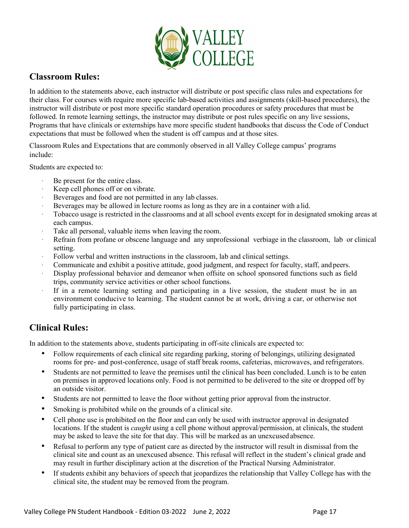

### **Classroom Rules:**

In addition to the statements above, each instructor will distribute or post specific class rules and expectations for their class. For courses with require more specific lab-based activities and assignments (skill-based procedures), the instructor will distribute or post more specific standard operation procedures or safety procedures that must be followed. In remote learning settings, the instructor may distribute or post rules specific on any live sessions, Programs that have clinicals or externships have more specific student handbooks that discuss the Code of Conduct expectations that must be followed when the student is off campus and at those sites.

Classroom Rules and Expectations that are commonly observed in all Valley College campus' programs include:

Students are expected to:

- Be present for the entire class.
- Keep cell phones off or on vibrate.
- Beverages and food are not permitted in any lab classes.
- Beverages may be allowed in lecture rooms as long as they are in a container with a lid.
- · Tobacco usage is restricted in the classrooms and at all school events except for in designated smoking areas at each campus.
- Take all personal, valuable items when leaving the room.
- Refrain from profane or obscene language and any unprofessional verbiage in the classroom, lab or clinical setting.
- Follow verbal and written instructions in the classroom, lab and clinical settings.
- Communicate and exhibit a positive attitude, good judgment, and respect for faculty, staff, and peers.
- Display professional behavior and demeanor when offsite on school sponsored functions such as field trips, community service activities or other school functions.
- · If in a remote learning setting and participating in a live session, the student must be in an environment conducive to learning. The student cannot be at work, driving a car, or otherwise not fully participating in class.

#### **Clinical Rules:**

In addition to the statements above, students participating in off-site clinicals are expected to:

- Follow requirements of each clinical site regarding parking, storing of belongings, utilizing designated rooms for pre- and post-conference, usage of staff break rooms, cafeterias, microwaves, and refrigerators.
- Students are not permitted to leave the premises until the clinical has been concluded. Lunch is to be eaten on premises in approved locations only. Food is not permitted to be delivered to the site or dropped off by an outside visitor.
- Students are not permitted to leave the floor without getting prior approval from the instructor.
- Smoking is prohibited while on the grounds of a clinical site.
- Cell phone use is prohibited on the floor and can only be used with instructor approval in designated locations. If the student is *caught* using a cell phone without approval/permission, at clinicals, the student may be asked to leave the site for that day. This will be marked as an unexcused absence.
- Refusal to perform any type of patient care as directed by the instructor will result in dismissal from the clinical site and count as an unexcused absence. This refusal will reflect in the student's clinical grade and may result in further disciplinary action at the discretion of the Practical Nursing Administrator.
- If students exhibit any behaviors of speech that jeopardizes the relationship that Valley College has with the clinical site, the student may be removed from the program.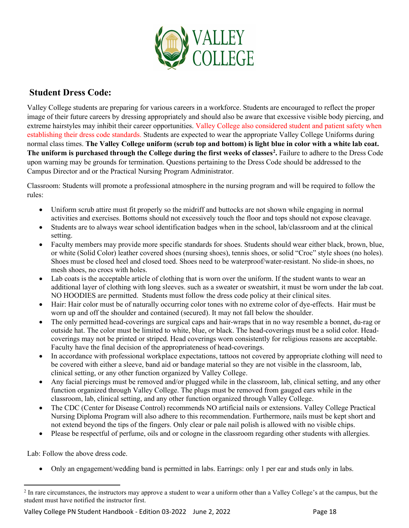

### **Student Dress Code:**

Valley College students are preparing for various careers in a workforce. Students are encouraged to reflect the proper image of their future careers by dressing appropriately and should also be aware that excessive visible body piercing, and extreme hairstyles may inhibit their career opportunities. Valley College also considered student and patient safety when establishing their dress code standards. Students are expected to wear the appropriate Valley College Uniforms during normal class times. **The Valley College uniform (scrub top and bottom) is light blue in color with a white lab coat. The uniform is purchased through the College during the first weeks of classes[2](#page-17-0) .** Failure to adhere to the Dress Code upon warning may be grounds for termination. Questions pertaining to the Dress Code should be addressed to the Campus Director and or the Practical Nursing Program Administrator.

Classroom: Students will promote a professional atmosphere in the nursing program and will be required to follow the rules:

- Uniform scrub attire must fit properly so the midriff and buttocks are not shown while engaging in normal activities and exercises. Bottoms should not excessively touch the floor and tops should not expose cleavage.
- Students are to always wear school identification badges when in the school, lab/classroom and at the clinical setting.
- Faculty members may provide more specific standards for shoes. Students should wear either black, brown, blue, or white (Solid Color) leather covered shoes (nursing shoes), tennis shoes, or solid "Croc" style shoes (no holes). Shoes must be closed heel and closed toed. Shoes need to be waterproof/water-resistant. No slide-in shoes, no mesh shoes, no crocs with holes.
- Lab coats is the acceptable article of clothing that is worn over the uniform. If the student wants to wear an additional layer of clothing with long sleeves. such as a sweater or sweatshirt, it must be worn under the lab coat. NO HOODIES are permitted. Students must follow the dress code policy at their clinical sites.
- Hair: Hair color must be of naturally occurring color tones with no extreme color of dye-effects. Hair must be worn up and off the shoulder and contained (secured). It may not fall below the shoulder.
- The only permitted head-coverings are surgical caps and hair-wraps that in no way resemble a bonnet, du-rag or outside hat. The color must be limited to white, blue, or black. The head-coverings must be a solid color. Headcoverings may not be printed or striped. Head coverings worn consistently for religious reasons are acceptable. Faculty have the final decision of the appropriateness of head-coverings.
- In accordance with professional workplace expectations, tattoos not covered by appropriate clothing will need to be covered with either a sleeve, band aid or bandage material so they are not visible in the classroom, lab, clinical setting, or any other function organized by Valley College.
- Any facial piercings must be removed and/or plugged while in the classroom, lab, clinical setting, and any other function organized through Valley College. The plugs must be removed from gauged ears while in the classroom, lab, clinical setting, and any other function organized through Valley College.
- The CDC (Center for Disease Control) recommends NO artificial nails or extensions. Valley College Practical Nursing Diploma Program will also adhere to this recommendation. Furthermore, nails must be kept short and not extend beyond the tips of the fingers. Only clear or pale nail polish is allowed with no visible chips.
- Please be respectful of perfume, oils and or cologne in the classroom regarding other students with allergies.

Lab: Follow the above dress code.

• Only an engagement/wedding band is permitted in labs. Earrings: only 1 per ear and studs only in labs.

Valley College PN Student Handbook - Edition 03-2022 June 2, 2022 Mage 18

<span id="page-17-0"></span><sup>&</sup>lt;sup>2</sup> In rare circumstances, the instructors may approve a student to wear a uniform other than a Valley College's at the campus, but the student must have notified the instructor first.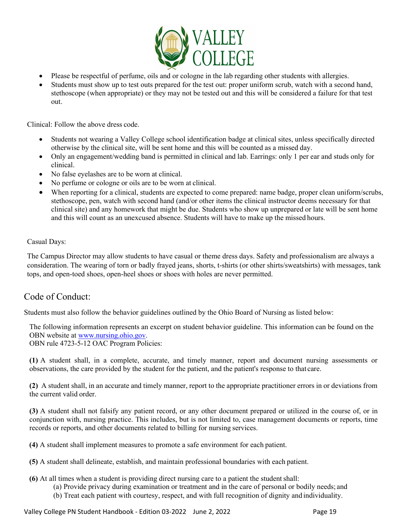

- Please be respectful of perfume, oils and or cologne in the lab regarding other students with allergies.
- Students must show up to test outs prepared for the test out: proper uniform scrub, watch with a second hand, stethoscope (when appropriate) or they may not be tested out and this will be considered a failure for that test out.

Clinical: Follow the above dress code.

- Students not wearing a Valley College school identification badge at clinical sites, unless specifically directed otherwise by the clinical site, will be sent home and this will be counted as a missed day.
- Only an engagement/wedding band is permitted in clinical and lab. Earrings: only 1 per ear and studs only for clinical.
- No false eyelashes are to be worn at clinical.
- No perfume or cologne or oils are to be worn at clinical.
- When reporting for a clinical, students are expected to come prepared: name badge, proper clean uniform/scrubs, stethoscope, pen, watch with second hand (and/or other items the clinical instructor deems necessary for that clinical site) and any homework that might be due. Students who show up unprepared or late will be sent home and this will count as an unexcused absence. Students will have to make up the missed hours.

#### Casual Days:

The Campus Director may allow students to have casual or theme dress days. Safety and professionalism are always a consideration. The wearing of torn or badly frayed jeans, shorts, t-shirts (or other shirts/sweatshirts) with messages, tank tops, and open-toed shoes, open-heel shoes or shoes with holes are never permitted.

#### Code of Conduct:

Students must also follow the behavior guidelines outlined by the Ohio Board of Nursing as listed below:

The following information represents an excerpt on student behavior guideline. This information can be found on the OBN website at [www.nursing.ohio.gov.](http://www.nursing.ohio.gov/)

OBN rule 4723-5-12 OAC Program Policies:

**(1)** A student shall, in a complete, accurate, and timely manner, report and document nursing assessments or observations, the care provided by the student for the patient, and the patient's response to that care.

**(2)** A student shall, in an accurate and timely manner, report to the appropriate practitioner errors in or deviations from the current valid order.

**(3)** A student shall not falsify any patient record, or any other document prepared or utilized in the course of, or in conjunction with, nursing practice. This includes, but is not limited to, case management documents or reports, time records or reports, and other documents related to billing for nursing services.

**(4)** A student shall implement measures to promote a safe environment for each patient.

- **(5)** A student shall delineate, establish, and maintain professional boundaries with each patient.
- **(6)** At all times when a student is providing direct nursing care to a patient the studentshall:
	- (a) Provide privacy during examination or treatment and in the care of personal or bodily needs; and
	- (b) Treat each patient with courtesy, respect, and with full recognition of dignity and individuality.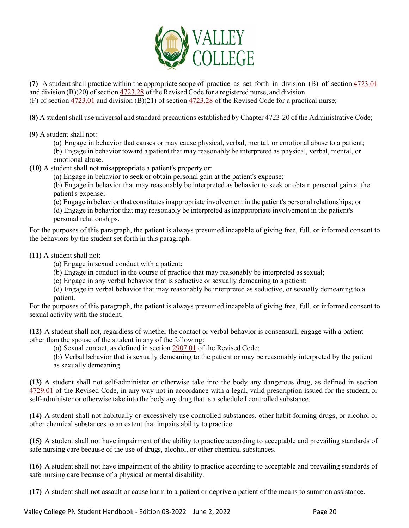

**(7)** A student shall practice within the appropriate scope of practice as set forth in division (B) of section [4723.01](http://codes.ohio.gov/orc/4723.01) and division  $(B)(20)$  of section [4723.28](http://codes.ohio.gov/orc/4723.28) of the Revised Code for a registered nurse, and division (F) of section [4723.01](http://codes.ohio.gov/orc/4723.01) and division (B)(21) of section [4723.28](http://codes.ohio.gov/orc/4723.28) of the Revised Code for a practical nurse;

**(8)** A student shall use universal and standard precautions established by Chapter 4723-20 of the Administrative Code;

**(9)** A student shall not:

(a) Engage in behavior that causes or may cause physical, verbal, mental, or emotional abuse to a patient;

(b) Engage in behavior toward a patient that may reasonably be interpreted as physical, verbal, mental, or emotional abuse.

**(10)** A student shall not misappropriate a patient's property or:

(a) Engage in behavior to seek or obtain personal gain at the patient's expense;

(b) Engage in behavior that may reasonably be interpreted as behavior to seek or obtain personal gain at the patient's expense;

(c) Engage in behavior that constitutesinappropriate involvement in the patient's personal relationships; or

(d) Engage in behavior that may reasonably be interpreted as inappropriate involvement in the patient's personal relationships.

For the purposes of this paragraph, the patient is always presumed incapable of giving free, full, or informed consent to the behaviors by the student set forth in this paragraph.

**(11)** A student shall not:

(a) Engage in sexual conduct with a patient;

(b) Engage in conduct in the course of practice that may reasonably be interpreted assexual;

(c) Engage in any verbal behavior that is seductive or sexually demeaning to a patient;

(d) Engage in verbal behavior that may reasonably be interpreted as seductive, or sexually demeaning to a patient.

For the purposes of this paragraph, the patient is always presumed incapable of giving free, full, or informed consent to sexual activity with the student.

**(12)** A student shall not, regardless of whether the contact or verbal behavior is consensual, engage with a patient other than the spouse of the student in any of the following:

(a) Sexual contact, as defined in section [2907.01](http://codes.ohio.gov/orc/2907.01) of the Revised Code;

(b) Verbal behavior that is sexually demeaning to the patient or may be reasonably interpreted by the patient as sexually demeaning.

**(13)** A student shall not self-administer or otherwise take into the body any dangerous drug, as defined in section [4729.01](http://codes.ohio.gov/orc/4729.01) of the Revised Code, in any way not in accordance with a legal, valid prescription issued for the student, or self-administer or otherwise take into the body any drug that is a schedule I controlled substance.

**(14)** A student shall not habitually or excessively use controlled substances, other habit-forming drugs, or alcohol or other chemical substances to an extent that impairs ability to practice.

**(15)** A student shall not have impairment of the ability to practice according to acceptable and prevailing standards of safe nursing care because of the use of drugs, alcohol, or other chemical substances.

**(16)** A student shall not have impairment of the ability to practice according to acceptable and prevailing standards of safe nursing care because of a physical or mental disability.

**(17)** A student shall not assault or cause harm to a patient or deprive a patient of the means to summon assistance.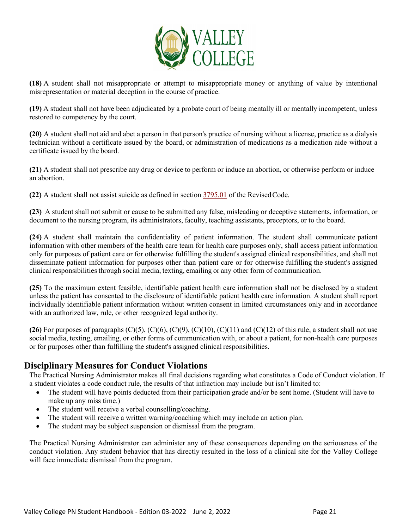

**(18)** A student shall not misappropriate or attempt to misappropriate money or anything of value by intentional misrepresentation or material deception in the course of practice.

**(19)** A student shall not have been adjudicated by a probate court of being mentally ill or mentally incompetent, unless restored to competency by the court.

**(20)** A student shall not aid and abet a person in that person's practice of nursing without a license, practice as a dialysis technician without a certificate issued by the board, or administration of medications as a medication aide without a certificate issued by the board.

**(21)** A student shall not prescribe any drug or device to perform or induce an abortion, or otherwise perform or induce an abortion.

**(22)** A student shall not assist suicide as defined in section [3795.01](http://codes.ohio.gov/orc/3795.01) of the RevisedCode.

**(23)** A student shall not submit or cause to be submitted any false, misleading or deceptive statements, information, or document to the nursing program, its administrators, faculty, teaching assistants, preceptors, or to the board.

**(24)** A student shall maintain the confidentiality of patient information. The student shall communicate patient information with other members of the health care team for health care purposes only, shall access patient information only for purposes of patient care or for otherwise fulfilling the student's assigned clinical responsibilities, and shall not disseminate patient information for purposes other than patient care or for otherwise fulfilling the student's assigned clinical responsibilities through social media, texting, emailing or any other form of communication.

**(25)** To the maximum extent feasible, identifiable patient health care information shall not be disclosed by a student unless the patient has consented to the disclosure of identifiable patient health care information. A student shall report individually identifiable patient information without written consent in limited circumstances only and in accordance with an authorized law, rule, or other recognized legal authority.

(26) For purposes of paragraphs  $(C)(5)$ ,  $(C)(6)$ ,  $(C)(9)$ ,  $(C)(10)$ ,  $(C)(11)$  and  $(C)(12)$  of this rule, a student shall not use social media, texting, emailing, or other forms of communication with, or about a patient, for non-health care purposes or for purposes other than fulfilling the student's assigned clinical responsibilities.

#### **Disciplinary Measures for Conduct Violations**

The Practical Nursing Administrator makes all final decisions regarding what constitutes a Code of Conduct violation. If a student violates a code conduct rule, the results of that infraction may include but isn't limited to:

- The student will have points deducted from their participation grade and/or be sent home. (Student will have to make up any miss time.)
- The student will receive a verbal counselling/coaching.
- The student will receive a written warning/coaching which may include an action plan.
- The student may be subject suspension or dismissal from the program.

The Practical Nursing Administrator can administer any of these consequences depending on the seriousness of the conduct violation. Any student behavior that has directly resulted in the loss of a clinical site for the Valley College will face immediate dismissal from the program.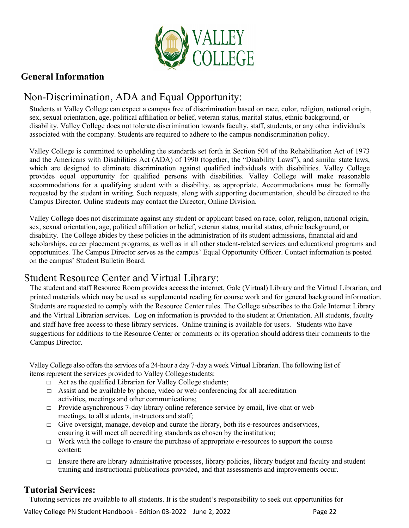

### **General Information**

## <span id="page-21-0"></span>Non-Discrimination, ADA and Equal Opportunity:

Students at Valley College can expect a campus free of discrimination based on race, color, religion, national origin, sex, sexual orientation, age, political affiliation or belief, veteran status, marital status, ethnic background, or disability. Valley College does not tolerate discrimination towards faculty, staff, students, or any other individuals associated with the company. Students are required to adhere to the campus nondiscrimination policy.

Valley College is committed to upholding the standards set forth in Section 504 of the Rehabilitation Act of 1973 and the Americans with Disabilities Act (ADA) of 1990 (together, the "Disability Laws"), and similar state laws, which are designed to eliminate discrimination against qualified individuals with disabilities. Valley College provides equal opportunity for qualified persons with disabilities. Valley College will make reasonable accommodations for a qualifying student with a disability, as appropriate. Accommodations must be formally requested by the student in writing. Such requests, along with supporting documentation, should be directed to the Campus Director. Online students may contact the Director, Online Division.

Valley College does not discriminate against any student or applicant based on race, color, religion, national origin, sex, sexual orientation, age, political affiliation or belief, veteran status, marital status, ethnic background, or disability. The College abides by these policies in the administration of its student admissions, financial aid and scholarships, career placement programs, as well as in all other student-related services and educational programs and opportunities. The Campus Director serves as the campus' Equal Opportunity Officer. Contact information is posted on the campus' Student Bulletin Board.

## <span id="page-21-1"></span>Student Resource Center and Virtual Library:

The student and staff Resource Room provides access the internet, Gale (Virtual) Library and the Virtual Librarian, and printed materials which may be used as supplemental reading for course work and for general background information. Students are requested to comply with the Resource Center rules. The College subscribes to the Gale Internet Library and the Virtual Librarian services. Log on information is provided to the student at Orientation. All students, faculty and staff have free access to these library services. Online training is available for users. Students who have suggestions for additions to the Resource Center or comments or its operation should address their comments to the Campus Director.

Valley College also offersthe services of a 24-hour a day 7-day a week Virtual Librarian. The following list of items represent the services provided to Valley Collegestudents:

- $\Box$  Act as the qualified Librarian for Valley College students;
- $\Box$  Assist and be available by phone, video or web conferencing for all accreditation activities, meetings and other communications;
- $\Box$  Provide asynchronous 7-day library online reference service by email, live-chat or web meetings, to all students, instructors and staff;
- $\Box$  Give oversight, manage, develop and curate the library, both its e-resources and services, ensuring it will meet all accrediting standards as chosen by the institution;
- $\Box$  Work with the college to ensure the purchase of appropriate e-resources to support the course content;
- $\Box$  Ensure there are library administrative processes, library policies, library budget and faculty and student training and instructional publications provided, and that assessments and improvements occur.

#### <span id="page-21-2"></span>**Tutorial Services:**

Tutoring services are available to all students. It is the student's responsibility to seek out opportunities for

Valley College PN Student Handbook - Edition 03-2022 June 2, 2022 Page 22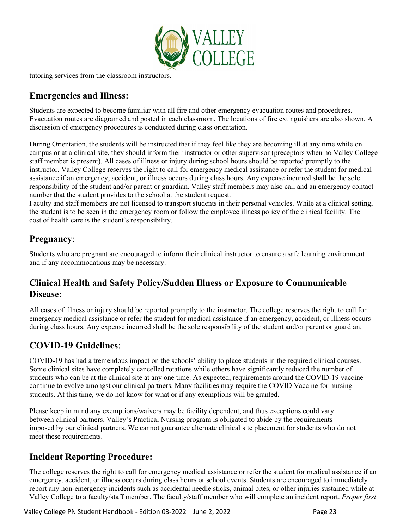

tutoring services from the classroom instructors.

#### **Emergencies and Illness:**

Students are expected to become familiar with all fire and other emergency evacuation routes and procedures. Evacuation routes are diagramed and posted in each classroom. The locations of fire extinguishers are also shown. A discussion of emergency procedures is conducted during class orientation.

During Orientation, the students will be instructed that if they feel like they are becoming ill at any time while on campus or at a clinical site, they should inform their instructor or other supervisor (preceptors when no Valley College staff member is present). All cases of illness or injury during school hours should be reported promptly to the instructor. Valley College reserves the right to call for emergency medical assistance or refer the student for medical assistance if an emergency, accident, or illness occurs during class hours. Any expense incurred shall be the sole responsibility of the student and/or parent or guardian. Valley staff members may also call and an emergency contact number that the student provides to the school at the student request.

Faculty and staff members are not licensed to transport students in their personal vehicles. While at a clinical setting, the student is to be seen in the emergency room or follow the employee illness policy of the clinical facility. The cost of health care is the student's responsibility.

### **Pregnancy**:

Students who are pregnant are encouraged to inform their clinical instructor to ensure a safe learning environment and if any accommodations may be necessary.

## **Clinical Health and Safety Policy/Sudden Illness or Exposure to Communicable Disease:**

All cases of illness or injury should be reported promptly to the instructor. The college reserves the right to call for emergency medical assistance or refer the student for medical assistance if an emergency, accident, or illness occurs during class hours. Any expense incurred shall be the sole responsibility of the student and/or parent or guardian.

## **COVID-19 Guidelines**:

COVID-19 has had a tremendous impact on the schools' ability to place students in the required clinical courses. Some clinical sites have completely cancelled rotations while others have significantly reduced the number of students who can be at the clinical site at any one time. As expected, requirements around the COVID-19 vaccine continue to evolve amongst our clinical partners. Many facilities may require the COVID Vaccine for nursing students. At this time, we do not know for what or if any exemptions will be granted.

Please keep in mind any exemptions/waivers may be facility dependent, and thus exceptions could vary between clinical partners. Valley's Practical Nursing program is obligated to abide by the requirements imposed by our clinical partners. We cannot guarantee alternate clinical site placement for students who do not meet these requirements.

## **Incident Reporting Procedure:**

The college reserves the right to call for emergency medical assistance or refer the student for medical assistance if an emergency, accident, or illness occurs during class hours or school events. Students are encouraged to immediately report any non-emergency incidents such as accidental needle sticks, animal bites, or other injuries sustained while at Valley College to a faculty/staff member. The faculty/staff member who will complete an incident report. *Proper first* 

Valley College PN Student Handbook - Edition 03-2022 June 2, 2022 **Page 23** Page 23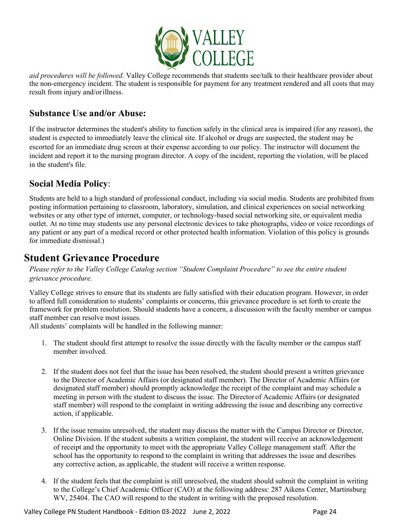

*aid procedures will be followed.* Valley College recommends that students see/talk to their healthcare provider about the non-emergency incident. The student is responsible for payment for any treatment rendered and all costs that may result from injury and/orillness.

#### **Substance Use and/or Abuse:**

If the instructor determines the student's ability to function safely in the clinical area is impaired (for any reason), the student is expected to immediately leave the clinical site. If alcohol or drugs are suspected, the student may be escorted for an immediate drug screen at their expense according to our policy. The instructor will document the incident and report it to the nursing program director. A copy of the incident, reporting the violation, will be placed in the student's file.

#### **Social Media Policy**:

Students are held to a high standard of professional conduct, including via social media. Students are prohibited from posting information pertaining to classroom, laboratory, simulation, and clinical experiences on social networking websites or any other type of internet, computer, or technology-based social networking site, or equivalent media outlet. At no time may students use any personal electronic devices to take photographs, video or voice recordings of any patient or any part of a medical record or other protected health information. Violation of this policy is grounds for immediate dismissal.)

## <span id="page-23-0"></span>**Student Grievance Procedure**

*Please refer to the Valley College Catalog section "Student Complaint Procedure" to see the entire student grievance procedure.*

Valley College strives to ensure that its students are fully satisfied with their education program. However, in order to afford full consideration to students' complaints or concerns, this grievance procedure is set forth to create the framework for problem resolution. Should students have a concern, a discussion with the faculty member or campus staff member can resolve most issues.

All students' complaints will be handled in the following manner:

- 1. The student should first attempt to resolve the issue directly with the faculty member or the campus staff member involved.
- 2. If the student does not feel that the issue has been resolved, the student should present a written grievance to the Director of Academic Affairs (or designated staff member). The Director of Academic Affairs (or designated staff member) should promptly acknowledge the receipt of the complaint and may schedule a meeting in person with the student to discuss the issue. The Director of Academic Affairs (or designated staff member) will respond to the complaint in writing addressing the issue and describing any corrective action, if applicable.
- 3. If the issue remains unresolved, the student may discuss the matter with the Campus Director or Director, Online Division. If the student submits a written complaint, the student will receive an acknowledgement of receipt and the opportunity to meet with the appropriate Valley College management staff. After the school has the opportunity to respond to the complaint in writing that addresses the issue and describes any corrective action, as applicable, the student will receive a written response.
- 4. If the student feels that the complaint is still unresolved, the student should submit the complaint in writing to the College's Chief Academic Officer (CAO) at the following address: 287 Aikens Center, Martinsburg WV, 25404. The CAO will respond to the student in writing with the proposed resolution.

Valley College PN Student Handbook - Edition 03-2022 June 2, 2022 Mage 24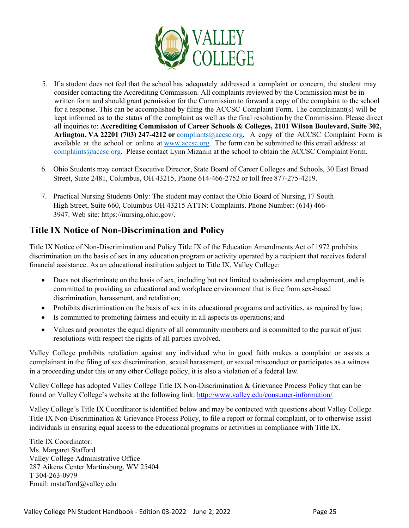

- 5. If a student does not feel that the school has adequately addressed a complaint or concern, the student may consider contacting the Accrediting Commission. All complaints reviewed by the Commission must be in written form and should grant permission for the Commission to forward a copy of the complaint to the school for a response. This can be accomplished by filing the ACCSC Complaint Form. The complainant(s) will be kept informed as to the status of the complaint as well as the final resolution by the Commission. Please direct all inquiries to: **Accrediting Commission of Career Schools & Colleges, 2101 Wilson Boulevard, Suite 302, Arlington, VA 22201 (703) 247-4212 or** [compliants@accsc.org](mailto:compliants@accsc.org)**.** A copy of the ACCSC Complaint Form is available at the school or online at [www.accsc.org.](http://www.accsc.org/) The form can be submitted to this email address: at [complaints@accsc.org.](mailto:complaints@accsc.org) Please contact Lynn Mizanin at the school to obtain the ACCSC Complaint Form.
- 6. Ohio Students may contact Executive Director, State Board of Career Colleges and Schools, 30 East Broad Street, Suite 2481, Columbus, OH 43215, Phone 614-466-2752 or toll free 877-275-4219.
- 7. Practical Nursing Students Only: The student may contact the Ohio Board of Nursing,17 South High Street, Suite 660, Columbus OH 43215 ATTN: Complaints. Phone Number: (614) 466- 3947. Web site: https://nursing.ohio.gov/.

## **Title IX Notice of Non-Discrimination and Policy**

Title IX Notice of Non-Discrimination and Policy Title IX of the Education Amendments Act of 1972 prohibits discrimination on the basis of sex in any education program or activity operated by a recipient that receives federal financial assistance. As an educational institution subject to Title IX, Valley College:

- Does not discriminate on the basis of sex, including but not limited to admissions and employment, and is committed to providing an educational and workplace environment that is free from sex-based discrimination, harassment, and retaliation;
- Prohibits discrimination on the basis of sex in its educational programs and activities, as required by law;
- Is committed to promoting fairness and equity in all aspects its operations; and
- Values and promotes the equal dignity of all community members and is committed to the pursuit of just resolutions with respect the rights of all parties involved.

Valley College prohibits retaliation against any individual who in good faith makes a complaint or assists a complainant in the filing of sex discrimination, sexual harassment, or sexual misconduct or participates as a witness in a proceeding under this or any other College policy, it is also a violation of a federal law.

Valley College has adopted Valley College Title IX Non-Discrimination & Grievance Process Policy that can be found on Valley College's website at the following link:<http://www.valley.edu/consumer-information/>

Valley College's Title IX Coordinator is identified below and may be contacted with questions about Valley College Title IX Non-Discrimination & Grievance Process Policy, to file a report or formal complaint, or to otherwise assist individuals in ensuring equal access to the educational programs or activities in compliance with Title IX.

Title IX Coordinator: Ms. Margaret Stafford Valley College Administrative Office 287 Aikens Center Martinsburg, WV 25404 T 304-263-0979 Email: [mstafford@valley.edu](mailto:mstafford@valley.edu)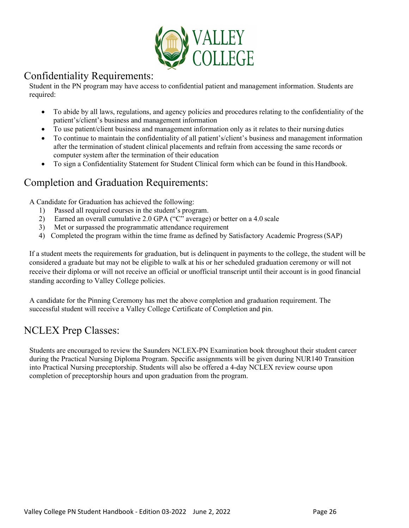

### <span id="page-25-0"></span>Confidentiality Requirements:

Student in the PN program may have access to confidential patient and management information. Students are required:

- To abide by all laws, regulations, and agency policies and procedures relating to the confidentiality of the patient's/client's business and management information
- To use patient/client business and management information only as it relates to their nursing duties
- To continue to maintain the confidentiality of all patient's/client's business and management information after the termination of student clinical placements and refrain from accessing the same records or computer system after the termination of their education
- To sign a Confidentiality Statement for Student Clinical form which can be found in this Handbook.

## <span id="page-25-1"></span>Completion and Graduation Requirements:

A Candidate for Graduation has achieved the following:

- 1) Passed all required courses in the student's program.
- 2) Earned an overall cumulative 2.0 GPA ("C" average) or better on a 4.0 scale
- 3) Met or surpassed the programmatic attendance requirement
- 4) Completed the program within the time frame as defined by Satisfactory Academic Progress(SAP)

If a student meets the requirements for graduation, but is delinquent in payments to the college, the student will be considered a graduate but may not be eligible to walk at his or her scheduled graduation ceremony or will not receive their diploma or will not receive an official or unofficial transcript until their account is in good financial standing according to Valley College policies.

A candidate for the Pinning Ceremony has met the above completion and graduation requirement. The successful student will receive a Valley College Certificate of Completion and pin.

## <span id="page-25-2"></span>NCLEX Prep Classes:

Students are encouraged to review the Saunders NCLEX-PN Examination book throughout their student career during the Practical Nursing Diploma Program. Specific assignments will be given during NUR140 Transition into Practical Nursing preceptorship. Students will also be offered a 4-day NCLEX review course upon completion of preceptorship hours and upon graduation from the program.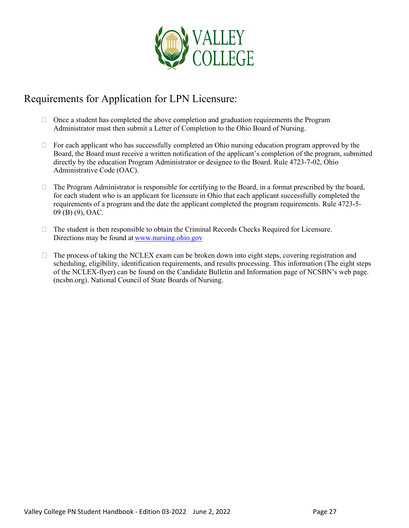

## <span id="page-26-0"></span>Requirements for Application for LPN Licensure:

- $\Box$  Once a student has completed the above completion and graduation requirements the Program Administrator must then submit a Letter of Completion to the Ohio Board of Nursing.
- $\Box$  For each applicant who has successfully completed an Ohio nursing education program approved by the Board, the Board must receive a written notification of the applicant's completion of the program, submitted directly by the education Program Administrator or designee to the Board. Rule 4723-7-02, Ohio Administrative Code (OAC).
- $\Box$  The Program Administrator is responsible for certifying to the Board, in a format prescribed by the board, for each student who is an applicant for licensure in Ohio that each applicant successfully completed the requirements of a program and the date the applicant completed the program requirements. Rule 4723-5- 09 (B) (9), OAC.
- $\Box$  The student is then responsible to obtain the Criminal Records Checks Required for Licensure. Directions may be found at [www.nursing.ohio.gov](http://www.nursing.ohio.gov/)
- $\Box$  The process of taking the NCLEX exam can be broken down into eight steps, covering registration and scheduling, eligibility, identification requirements, and results processing. This information (The eight steps of the NCLEX-flyer) can be found on the Candidate Bulletin and Information page of NCSBN's web page. (ncsbn.org). National Council of State Boards of Nursing.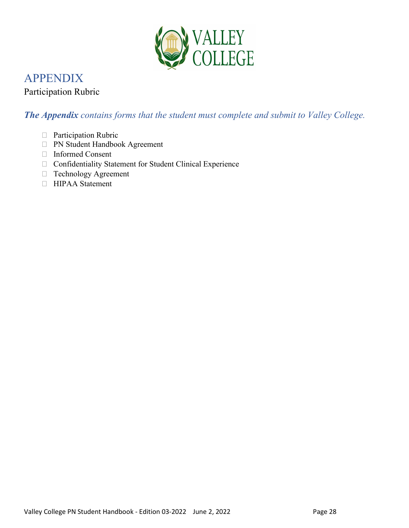

## <span id="page-27-0"></span>APPENDIX

### Participation Rubric

## *The Appendix contains forms that the student must complete and submit to Valley College.*

- Participation Rubric
- PN Student Handbook Agreement
- Informed Consent
- Confidentiality Statement for Student Clinical Experience
- Technology Agreement
- HIPAA Statement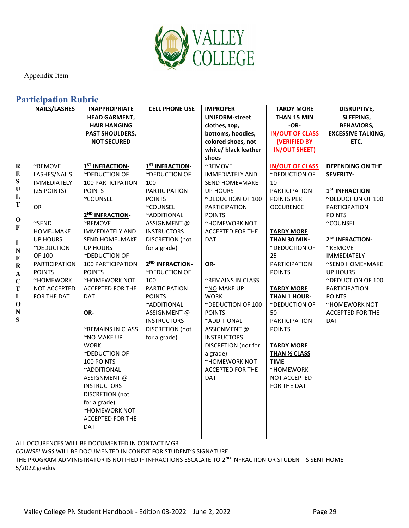

<span id="page-28-0"></span>

| <b>Participation Rubric</b>                                                                                                                                                                                                                      |                                                                                                                                                                                                                                |                                                                                                                                                                                                                                                                                                                                                                                                                                                                                                                                                                                                                 |                                                                                                                                                                                                                                                                                                                                                                                         |                                                                                                                                                                                                                                                                                                                                                                                                                                          |                                                                                                                                                                                                                                                                                                                                                                                                              |                                                                                                                                                                                                                                                                                                                                                                             |
|--------------------------------------------------------------------------------------------------------------------------------------------------------------------------------------------------------------------------------------------------|--------------------------------------------------------------------------------------------------------------------------------------------------------------------------------------------------------------------------------|-----------------------------------------------------------------------------------------------------------------------------------------------------------------------------------------------------------------------------------------------------------------------------------------------------------------------------------------------------------------------------------------------------------------------------------------------------------------------------------------------------------------------------------------------------------------------------------------------------------------|-----------------------------------------------------------------------------------------------------------------------------------------------------------------------------------------------------------------------------------------------------------------------------------------------------------------------------------------------------------------------------------------|------------------------------------------------------------------------------------------------------------------------------------------------------------------------------------------------------------------------------------------------------------------------------------------------------------------------------------------------------------------------------------------------------------------------------------------|--------------------------------------------------------------------------------------------------------------------------------------------------------------------------------------------------------------------------------------------------------------------------------------------------------------------------------------------------------------------------------------------------------------|-----------------------------------------------------------------------------------------------------------------------------------------------------------------------------------------------------------------------------------------------------------------------------------------------------------------------------------------------------------------------------|
|                                                                                                                                                                                                                                                  | <b>NAILS/LASHES</b>                                                                                                                                                                                                            | <b>INAPPROPRIATE</b><br><b>HEAD GARMENT,</b><br><b>HAIR HANGING</b><br><b>PAST SHOULDERS,</b><br><b>NOT SECURED</b>                                                                                                                                                                                                                                                                                                                                                                                                                                                                                             | <b>CELL PHONE USE</b>                                                                                                                                                                                                                                                                                                                                                                   | <b>IMPROPER</b><br><b>UNIFORM-street</b><br>clothes, top,<br>bottoms, hoodies,<br>colored shoes, not<br>white/ black leather<br>shoes                                                                                                                                                                                                                                                                                                    | <b>TARDY MORE</b><br>THAN 15 MIN<br>-OR-<br><b>IN/OUT OF CLASS</b><br><b>(VERIFIED BY</b><br><b>IN/OUT SHEET)</b>                                                                                                                                                                                                                                                                                            | <b>DISRUPTIVE,</b><br>SLEEPING,<br><b>BEHAVIORS,</b><br><b>EXCESSIVE TALKING,</b><br>ETC.                                                                                                                                                                                                                                                                                   |
| $\bf R$<br>${\bf E}$<br>${\bf S}$<br>$\mathbf U$<br>L<br>T<br>$\mathbf 0$<br>F<br>I<br>${\bf N}$<br>F<br>${\bf R}$<br>$\boldsymbol{\rm{A}}$<br>$\mathbf C$<br>T<br>I<br>$\mathbf 0$<br>${\bf N}$<br>S                                            | ~REMOVE<br>LASHES/NAILS<br><b>IMMEDIATELY</b><br>(25 POINTS)<br><b>OR</b><br>$\sim$ SEND<br>HOME=MAKE<br><b>UP HOURS</b><br>~DEDUCTION<br>OF 100<br>PARTICIPATION<br><b>POINTS</b><br>~HOMEWORK<br>NOT ACCEPTED<br>FOR THE DAT | 1 <sup>ST</sup> INFRACTION-<br>~DEDUCTION OF<br><b>100 PARTICIPATION</b><br><b>POINTS</b><br>~COUNSEL<br>2 <sup>ND</sup> INFRACTION-<br>$~\gamma$ REMOVE<br><b>IMMEDIATELY AND</b><br><b>SEND HOME=MAKE</b><br><b>UP HOURS</b><br>~DEDUCTION OF<br><b>100 PARTICIPATION</b><br><b>POINTS</b><br>~HOMEWORK NOT<br><b>ACCEPTED FOR THE</b><br><b>DAT</b><br>OR-<br>~REMAINS IN CLASS<br>~NO MAKE UP<br><b>WORK</b><br>~DEDUCTION OF<br><b>100 POINTS</b><br>~ADDITIONAL<br>ASSIGNMENT @<br><b>INSTRUCTORS</b><br><b>DISCRETION</b> (not<br>for a grade)<br>~HOMEWORK NOT<br><b>ACCEPTED FOR THE</b><br><b>DAT</b> | 1 <sup>ST</sup> INFRACTION-<br>~DEDUCTION OF<br>100<br><b>PARTICIPATION</b><br><b>POINTS</b><br>~COUNSEL<br>~ADDITIONAL<br>ASSIGNMENT @<br><b>INSTRUCTORS</b><br>DISCRETION (not<br>for a grade)<br>2 <sup>ND</sup> INFRACTION-<br>~DEDUCTION OF<br>100<br><b>PARTICIPATION</b><br><b>POINTS</b><br>~ADDITIONAL<br>ASSIGNMENT@<br><b>INSTRUCTORS</b><br>DISCRETION (not<br>for a grade) | ~REMOVE<br><b>IMMEDIATELY AND</b><br><b>SEND HOME=MAKE</b><br><b>UP HOURS</b><br>~DEDUCTION OF 100<br><b>PARTICIPATION</b><br><b>POINTS</b><br>~HOMEWORK NOT<br>ACCEPTED FOR THE<br>DAT<br>OR-<br>~REMAINS IN CLASS<br>~NO MAKE UP<br><b>WORK</b><br>~DEDUCTION OF 100<br><b>POINTS</b><br>~ADDITIONAL<br>ASSIGNMENT@<br><b>INSTRUCTORS</b><br>DISCRETION (not for<br>a grade)<br>~HOMEWORK NOT<br><b>ACCEPTED FOR THE</b><br><b>DAT</b> | <b>IN/OUT OF CLASS</b><br>~DEDUCTION OF<br>10<br>PARTICIPATION<br>POINTS PER<br><b>OCCURENCE</b><br><b>TARDY MORE</b><br>THAN 30 MIN-<br>~DEDUCTION OF<br>25<br><b>PARTICIPATION</b><br><b>POINTS</b><br><b>TARDY MORE</b><br>THAN 1 HOUR-<br>~DEDUCTION OF<br>50<br>PARTICIPATION<br><b>POINTS</b><br><b>TARDY MORE</b><br><b>THAN 1/2 CLASS</b><br><b>TIME</b><br>~HOMEWORK<br>NOT ACCEPTED<br>FOR THE DAT | <b>DEPENDING ON THE</b><br><b>SEVERITY-</b><br>1 <sup>ST</sup> INFRACTION-<br>~DEDUCTION OF 100<br><b>PARTICIPATION</b><br><b>POINTS</b><br>~COUNSEL<br>2 <sup>nd</sup> INFRACTION-<br>~REMOVE<br><b>IMMEDIATELY</b><br>~SEND HOME=MAKE<br><b>UP HOURS</b><br>~DEDUCTION OF 100<br>PARTICIPATION<br><b>POINTS</b><br>~HOMEWORK NOT<br><b>ACCEPTED FOR THE</b><br><b>DAT</b> |
| ALL OCCURENCES WILL BE DOCUMENTED IN CONTACT MGR<br>COUNSELINGS WILL BE DOCUMENTED IN CONEXT FOR STUDENT'S SIGNATURE<br>THE PROGRAM ADMINISTRATOR IS NOTIFIED IF INFRACTIONS ESCALATE TO 2ND INFRACTION OR STUDENT IS SENT HOME<br>5/2022.gredus |                                                                                                                                                                                                                                |                                                                                                                                                                                                                                                                                                                                                                                                                                                                                                                                                                                                                 |                                                                                                                                                                                                                                                                                                                                                                                         |                                                                                                                                                                                                                                                                                                                                                                                                                                          |                                                                                                                                                                                                                                                                                                                                                                                                              |                                                                                                                                                                                                                                                                                                                                                                             |

٦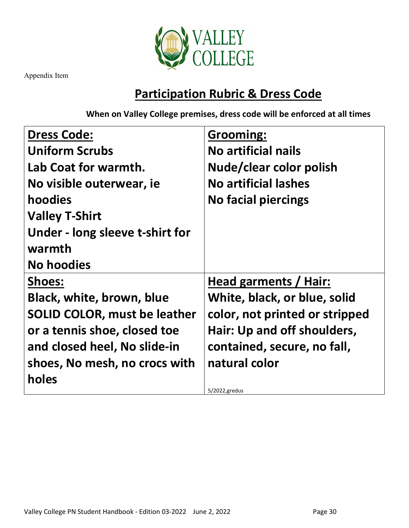

## **Participation Rubric & Dress Code**

**When on Valley College premises, dress code will be enforced at all times**

| <b>Dress Code:</b>                  | Grooming:                      |
|-------------------------------------|--------------------------------|
| <b>Uniform Scrubs</b>               | <b>No artificial nails</b>     |
| Lab Coat for warmth.                | Nude/clear color polish        |
| No visible outerwear, ie            | <b>No artificial lashes</b>    |
| hoodies                             | <b>No facial piercings</b>     |
| <b>Valley T-Shirt</b>               |                                |
| Under - long sleeve t-shirt for     |                                |
| warmth                              |                                |
| <b>No hoodies</b>                   |                                |
| <b>Shoes:</b>                       | Head garments / Hair:          |
| <b>Black, white, brown, blue</b>    | White, black, or blue, solid   |
| <b>SOLID COLOR, must be leather</b> | color, not printed or stripped |
| or a tennis shoe, closed toe        | Hair: Up and off shoulders,    |
| and closed heel, No slide-in        | contained, secure, no fall,    |
| shoes, No mesh, no crocs with       | natural color                  |
| holes                               |                                |
|                                     | 5/2022, gredus                 |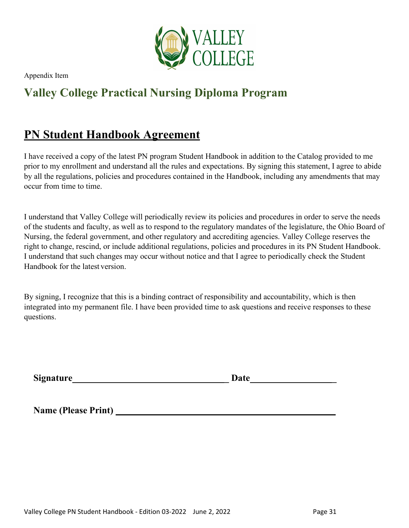

## **Valley College Practical Nursing Diploma Program**

## <span id="page-30-0"></span>**PN Student Handbook Agreement**

I have received a copy of the latest PN program Student Handbook in addition to the Catalog provided to me prior to my enrollment and understand all the rules and expectations. By signing this statement, I agree to abide by all the regulations, policies and procedures contained in the Handbook, including any amendments that may occur from time to time.

I understand that Valley College will periodically review its policies and procedures in order to serve the needs of the students and faculty, as well as to respond to the regulatory mandates of the legislature, the Ohio Board of Nursing, the federal government, and other regulatory and accrediting agencies. Valley College reserves the right to change, rescind, or include additional regulations, policies and procedures in its PN Student Handbook. I understand that such changes may occur without notice and that I agree to periodically check the Student Handbook for the latest version.

By signing, I recognize that this is a binding contract of responsibility and accountability, which is then integrated into my permanent file. I have been provided time to ask questions and receive responses to these questions.

**Signature Date Date** 

**Name (Please Print)**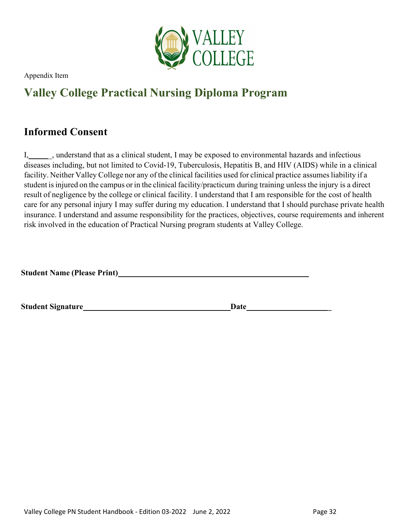

## **Valley College Practical Nursing Diploma Program**

## <span id="page-31-0"></span>**Informed Consent**

I, understand that as a clinical student, I may be exposed to environmental hazards and infectious diseases including, but not limited to Covid-19, Tuberculosis, Hepatitis B, and HIV (AIDS) while in a clinical facility. Neither Valley College nor any of the clinical facilities used for clinical practice assumes liability if a student is injured on the campus or in the clinical facility/practicum during training unless the injury is a direct result of negligence by the college or clinical facility. I understand that I am responsible for the cost of health care for any personal injury I may suffer during my education. I understand that I should purchase private health insurance. I understand and assume responsibility for the practices, objectives, course requirements and inherent risk involved in the education of Practical Nursing program students at Valley College.

**Student Name (Please Print)**

**Student Signature Date Date**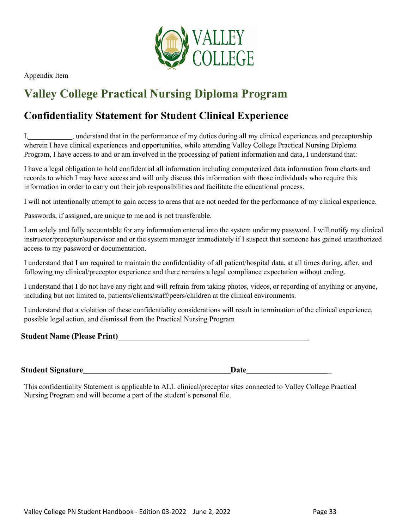

## **Valley College Practical Nursing Diploma Program**

## <span id="page-32-0"></span>**Confidentiality Statement for Student Clinical Experience**

I, understand that in the performance of my duties during all my clinical experiences and preceptorship wherein I have clinical experiences and opportunities, while attending Valley College Practical Nursing Diploma Program, I have access to and or am involved in the processing of patient information and data, I understand that:

I have a legal obligation to hold confidential all information including computerized data information from charts and records to which I may have access and will only discuss this information with those individuals who require this information in order to carry out their job responsibilities and facilitate the educational process.

I will not intentionally attempt to gain access to areas that are not needed for the performance of my clinical experience.

Passwords, if assigned, are unique to me and is not transferable.

I am solely and fully accountable for any information entered into the system under my password. I will notify my clinical instructor/preceptor/supervisor and or the system manager immediately if I suspect that someone has gained unauthorized access to my password or documentation.

I understand that I am required to maintain the confidentiality of all patient/hospital data, at all times during, after, and following my clinical/preceptor experience and there remains a legal compliance expectation without ending.

I understand that I do not have any right and will refrain from taking photos, videos, or recording of anything or anyone, including but not limited to, patients/clients/staff/peers/children at the clinical environments.

I understand that a violation of these confidentiality considerations will result in termination of the clinical experience, possible legal action, and dismissal from the Practical Nursing Program

**Student Name (Please Print)**

**Student Signature Date Date** 

This confidentiality Statement is applicable to ALL clinical/preceptor sites connected to Valley College Practical Nursing Program and will become a part of the student's personal file.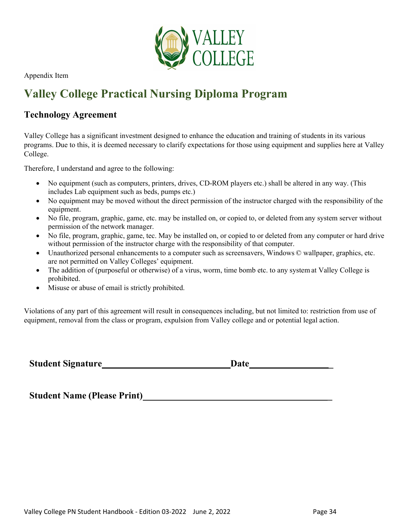

## **Valley College Practical Nursing Diploma Program**

### <span id="page-33-0"></span>**Technology Agreement**

Valley College has a significant investment designed to enhance the education and training of students in its various programs. Due to this, it is deemed necessary to clarify expectations for those using equipment and supplies here at Valley College.

Therefore, I understand and agree to the following:

- No equipment (such as computers, printers, drives, CD-ROM players etc.) shall be altered in any way. (This includes Lab equipment such as beds, pumps etc.)
- No equipment may be moved without the direct permission of the instructor charged with the responsibility of the equipment.
- No file, program, graphic, game, etc. may be installed on, or copied to, or deleted from any system server without permission of the network manager.
- No file, program, graphic, game, tec. May be installed on, or copied to or deleted from any computer or hard drive without permission of the instructor charge with the responsibility of that computer.
- Unauthorized personal enhancements to a computer such as screensavers, Windows © wallpaper, graphics, etc. are not permitted on Valley Colleges' equipment.
- The addition of (purposeful or otherwise) of a virus, worm, time bomb etc. to any system at Valley College is prohibited.
- Misuse or abuse of email is strictly prohibited.

Violations of any part of this agreement will result in consequences including, but not limited to: restriction from use of equipment, removal from the class or program, expulsion from Valley college and or potential legal action.

| <b>Student Signature_</b> | Date |  |
|---------------------------|------|--|
|---------------------------|------|--|

**Student Name (Please Print) \_**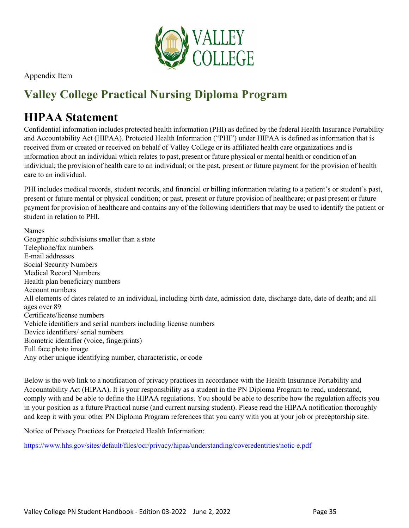

## **Valley College Practical Nursing Diploma Program**

## <span id="page-34-0"></span>**HIPAA Statement**

Confidential information includes protected health information (PHI) as defined by the federal Health Insurance Portability and Accountability Act (HIPAA). Protected Health Information ("PHI") under HIPAA is defined as information that is received from or created or received on behalf of Valley College or its affiliated health care organizations and is information about an individual which relates to past, present or future physical or mental health or condition of an individual; the provision of health care to an individual; or the past, present or future payment for the provision of health care to an individual.

PHI includes medical records, student records, and financial or billing information relating to a patient's or student's past, present or future mental or physical condition; or past, present or future provision of healthcare; or past present or future payment for provision of healthcare and contains any of the following identifiers that may be used to identify the patient or student in relation to PHI.

Names Geographic subdivisions smaller than a state Telephone/fax numbers E-mail addresses Social Security Numbers Medical Record Numbers Health plan beneficiary numbers Account numbers All elements of dates related to an individual, including birth date, admission date, discharge date, date of death; and all ages over 89 Certificate/license numbers Vehicle identifiers and serial numbers including license numbers Device identifiers/ serial numbers Biometric identifier (voice, fingerprints) Full face photo image Any other unique identifying number, characteristic, or code

Below is the web link to a notification of privacy practices in accordance with the Health Insurance Portability and Accountability Act (HIPAA). It is your responsibility as a student in the PN Diploma Program to read, understand, comply with and be able to define the HIPAA regulations. You should be able to describe how the regulation affects you in your position as a future Practical nurse (and current nursing student). Please read the HIPAA notification thoroughly and keep it with your other PN Diploma Program references that you carry with you at your job or preceptorship site.

Notice of Privacy Practices for Protected Health Information:

[https://www.hhs.gov/sites/default/files/ocr/privacy/hipaa/understanding/coveredentities/notic](https://www.hhs.gov/sites/default/files/ocr/privacy/hipaa/understanding/coveredentities/notice.pdf) [e.pdf](https://www.hhs.gov/sites/default/files/ocr/privacy/hipaa/understanding/coveredentities/notice.pdf)